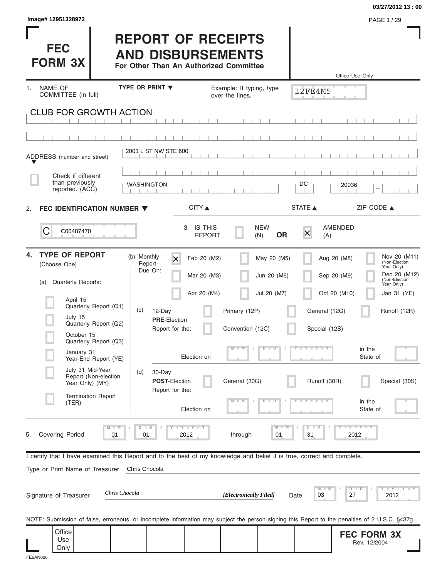|                                                                                                                                                |                                                                                                 |                                                  |                                | 03/27/2012 13:00                                                                          |
|------------------------------------------------------------------------------------------------------------------------------------------------|-------------------------------------------------------------------------------------------------|--------------------------------------------------|--------------------------------|-------------------------------------------------------------------------------------------|
| Image# 12951328973                                                                                                                             |                                                                                                 |                                                  |                                | PAGE 1/29                                                                                 |
| <b>FEC</b><br><b>FORM 3X</b>                                                                                                                   | <b>REPORT OF RECEIPTS</b><br><b>AND DISBURSEMENTS</b><br>For Other Than An Authorized Committee |                                                  |                                | Office Use Only                                                                           |
| NAME OF<br>1.                                                                                                                                  | <b>TYPE OR PRINT ▼</b>                                                                          | Example: If typing, type                         |                                |                                                                                           |
| COMMITTEE (in full)                                                                                                                            |                                                                                                 | over the lines.                                  | <b>12FE4M5</b>                 |                                                                                           |
| <b>CLUB FOR GROWTH ACTION</b>                                                                                                                  |                                                                                                 |                                                  |                                |                                                                                           |
|                                                                                                                                                |                                                                                                 |                                                  |                                |                                                                                           |
| ADDRESS (number and street)                                                                                                                    | 2001 L ST NW STE 600                                                                            |                                                  |                                |                                                                                           |
| Check if different<br>than previously                                                                                                          |                                                                                                 |                                                  |                                |                                                                                           |
| reported. (ACC)                                                                                                                                | <b>WASHINGTON</b>                                                                               |                                                  | DC                             | 20036                                                                                     |
| FEC IDENTIFICATION NUMBER $\blacktriangledown$<br>2.                                                                                           | CITY ▲                                                                                          |                                                  | STATE A                        | ZIP CODE $\triangle$                                                                      |
| C<br>C00487470                                                                                                                                 |                                                                                                 | 3. IS THIS<br><b>NEW</b><br><b>REPORT</b><br>(N) | $\times$<br><b>OR</b><br>(A)   | AMENDED                                                                                   |
| <b>TYPE OF REPORT</b><br>4.<br>(Choose One)                                                                                                    | (b) Monthly<br>$\overline{\mathsf{x}}$<br>Report<br>Due On:                                     | Feb 20 (M2)<br>Mar 20 (M3)                       | May 20 (M5)<br>Jun 20 (M6)     | Nov 20 (M11)<br>Aug 20 (M8)<br>(Non-Election<br>Year Only)<br>Dec 20 (M12)<br>Sep 20 (M9) |
| <b>Quarterly Reports:</b><br>(a)                                                                                                               |                                                                                                 |                                                  |                                | (Non-Election<br>Year Only)                                                               |
| April 15                                                                                                                                       |                                                                                                 | Apr 20 (M4)                                      | Jul 20 (M7)                    | Oct 20 (M10)<br>Jan 31 (YE)                                                               |
| Quarterly Report (Q1)<br>July 15                                                                                                               | (c)<br>12-Day<br><b>PRE-Election</b>                                                            | Primary (12P)                                    | General (12G)                  | Runoff (12R)                                                                              |
| Quarterly Report (Q2)<br>October 15                                                                                                            | Report for the:                                                                                 | Convention (12C)                                 | Special (12S)                  |                                                                                           |
| Quarterly Report (Q3)<br>January 31<br>Year-End Report (YE)                                                                                    | Election on                                                                                     | D                                                | $Y$ $Y$ $Y$<br>$\Box$          | in the<br>State of                                                                        |
| July 31 Mid-Year<br>Report (Non-election<br>Year Only) (MY)                                                                                    | (d)<br>30-Day<br>POST-Election<br>Report for the:                                               | General (30G)                                    | Runoff (30R)                   | Special (30S)                                                                             |
| <b>Termination Report</b><br>(TER)                                                                                                             | Election on                                                                                     | D                                                | $\overline{\mathbf{D}}$        | in the<br>State of                                                                        |
| $M - M$<br><b>Covering Period</b><br>01<br>5.                                                                                                  | $D$ $D$<br><b>LYLYLY</b><br>01<br>2012                                                          | through                                          | $M - M$<br>$D$ $D$<br>01<br>31 | $-Y - Y - Y$<br>2012                                                                      |
| I certify that I have examined this Report and to the best of my knowledge and belief it is true, correct and complete.                        |                                                                                                 |                                                  |                                |                                                                                           |
| Type or Print Name of Treasurer                                                                                                                | Chris Chocola                                                                                   |                                                  |                                |                                                                                           |
| Chris Chocola<br>Signature of Treasurer                                                                                                        |                                                                                                 | [Electronically Filed]                           | M<br>03<br>Date                | <b>LEY LEY LEY</b><br>$D$ $D$<br>27<br>2012                                               |
| NOTE: Submission of false, erroneous, or incomplete information may subject the person signing this Report to the penalties of 2 U.S.C. §437g. |                                                                                                 |                                                  |                                |                                                                                           |
| Office<br>Use                                                                                                                                  |                                                                                                 |                                                  |                                | <b>FEC FORM 3X</b>                                                                        |
| Only                                                                                                                                           |                                                                                                 |                                                  |                                | Rev. 12/2004                                                                              |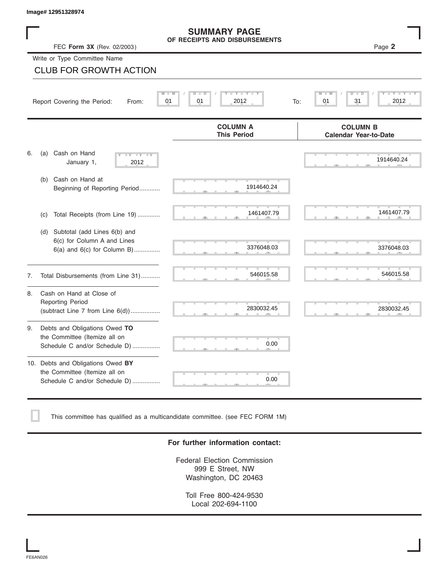### **SUMMARY PAGE OF RECEIPTS AND DISBURSEMENTS**

|    | Image# 12951328974                                                                                    |                                                       |                                                 |
|----|-------------------------------------------------------------------------------------------------------|-------------------------------------------------------|-------------------------------------------------|
|    | FEC Form 3X (Rev. 02/2003)                                                                            | <b>SUMMARY PAGE</b><br>OF RECEIPTS AND DISBURSEMENTS  | Page 2                                          |
|    | Write or Type Committee Name                                                                          |                                                       |                                                 |
|    | <b>CLUB FOR GROWTH ACTION</b>                                                                         |                                                       |                                                 |
|    | Report Covering the Period:<br>From:                                                                  | $Y - Y - I$<br>M<br>D<br>D<br>01<br>01<br>2012<br>To: | D<br>01<br>31<br>2012                           |
|    |                                                                                                       | <b>COLUMN A</b><br><b>This Period</b>                 | <b>COLUMN B</b><br><b>Calendar Year-to-Date</b> |
| 6. | Cash on Hand<br>(a)<br>$-Y - -Y - -Y$<br>January 1,<br>2012                                           |                                                       | 1914640.24                                      |
|    | Cash on Hand at<br>(b)<br>Beginning of Reporting Period                                               | 1914640.24                                            |                                                 |
|    | Total Receipts (from Line 19)<br>(c)                                                                  | 1461407.79                                            | 1461407.79                                      |
|    | Subtotal (add Lines 6(b) and<br>(d)<br>6(c) for Column A and Lines<br>$6(a)$ and $6(c)$ for Column B) | 3376048.03                                            | 3376048.03                                      |
| 7. | Total Disbursements (from Line 31)                                                                    | 546015.58                                             | 546015.58                                       |
| 8. | Cash on Hand at Close of<br><b>Reporting Period</b><br>(subtract Line $7$ from Line $6(d)$ )          | 2830032.45                                            | 2830032.45                                      |
| 9. | Debts and Obligations Owed TO<br>the Committee (Itemize all on<br>Schedule C and/or Schedule D)       | 0.00                                                  |                                                 |
|    | 10. Debts and Obligations Owed BY<br>the Committee (Itemize all on<br>Schedule C and/or Schedule D)   | 0.00                                                  |                                                 |

This committee has qualified as a multicandidate committee. (see FEC FORM 1M)

### **For further information contact:**

Federal Election Commission 999 E Street, NW Washington, DC 20463

Toll Free 800-424-9530 Local 202-694-1100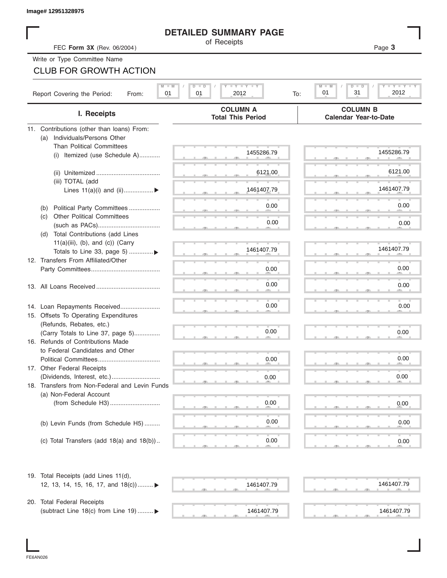|                                                       | <b>DETAILED SUMMARY PAGE</b>                            |                                                              |
|-------------------------------------------------------|---------------------------------------------------------|--------------------------------------------------------------|
| FEC Form 3X (Rev. 06/2004)                            | of Receipts                                             | Page 3                                                       |
| Write or Type Committee Name                          |                                                         |                                                              |
| <b>CLUB FOR GROWTH ACTION</b>                         |                                                         |                                                              |
|                                                       |                                                         |                                                              |
| $M - M$<br>Report Covering the Period:<br>01<br>From: | $T - Y = T - Y = T - Y$<br>$D$ $\Box$ $D$<br>2012<br>01 | $Y = Y = Y$<br>$M - M$<br>$D$ $D$<br>2012<br>01<br>31<br>To: |
| I. Receipts                                           | <b>COLUMN A</b><br><b>Total This Period</b>             | <b>COLUMN B</b><br><b>Calendar Year-to-Date</b>              |
| 11. Contributions (other than loans) From:            |                                                         |                                                              |
| Individuals/Persons Other<br>(a)                      |                                                         |                                                              |
| <b>Than Political Committees</b>                      | 1455286.79                                              | 1455286.79                                                   |
| (i) Itemized (use Schedule A)                         |                                                         |                                                              |
|                                                       | 6121.00                                                 | 6121.00                                                      |
| (iii) TOTAL (add                                      |                                                         |                                                              |
| Lines $11(a)(i)$ and $(ii)$                           | 1461407.79                                              | 1461407.79                                                   |
|                                                       |                                                         |                                                              |
| Political Party Committees<br>(b)                     | 0.00                                                    | 0.00                                                         |
| <b>Other Political Committees</b><br>(c)              |                                                         |                                                              |
|                                                       | 0.00                                                    | 0.00                                                         |
| Total Contributions (add Lines<br>(d)                 |                                                         |                                                              |
| $11(a)(iii)$ , (b), and (c)) (Carry                   | 1461407.79                                              | 1461407.79                                                   |
| Totals to Line 33, page 5) ▶                          |                                                         |                                                              |
| 12. Transfers From Affiliated/Other                   |                                                         | 0.00                                                         |
|                                                       | 0.00                                                    |                                                              |
|                                                       | 0.00                                                    | 0.00                                                         |
|                                                       |                                                         |                                                              |
| 14. Loan Repayments Received                          | 0.00                                                    | 0.00                                                         |
| 15. Offsets To Operating Expenditures                 |                                                         |                                                              |
| (Refunds, Rebates, etc.)                              |                                                         |                                                              |
| (Carry Totals to Line 37, page 5)                     | 0.00                                                    | 0.00                                                         |
| 16. Refunds of Contributions Made                     |                                                         |                                                              |
| to Federal Candidates and Other                       |                                                         |                                                              |
| Political Committees                                  | 0.00                                                    | 0.00                                                         |
| 17. Other Federal Receipts                            |                                                         |                                                              |
|                                                       | 0.00                                                    | 0.00                                                         |
| 18. Transfers from Non-Federal and Levin Funds        |                                                         |                                                              |
| (a) Non-Federal Account                               |                                                         |                                                              |
|                                                       | 0.00                                                    | 0.00                                                         |
|                                                       |                                                         |                                                              |
| (b) Levin Funds (from Schedule H5)                    | 0.00                                                    | 0.00                                                         |
|                                                       | 0.00                                                    |                                                              |
| (c) Total Transfers (add $18(a)$ and $18(b)$ )        |                                                         | 0.00                                                         |
| 19. Total Receipts (add Lines 11(d),                  |                                                         |                                                              |
| 12, 13, 14, 15, 16, 17, and 18(c)) ▶                  | 1461407.79                                              | 1461407.79                                                   |
|                                                       |                                                         |                                                              |
| 20. Total Federal Receipts                            | 1461407.79                                              |                                                              |
| (subtract Line 18(c) from Line 19)  ▶                 |                                                         | 1461407.79                                                   |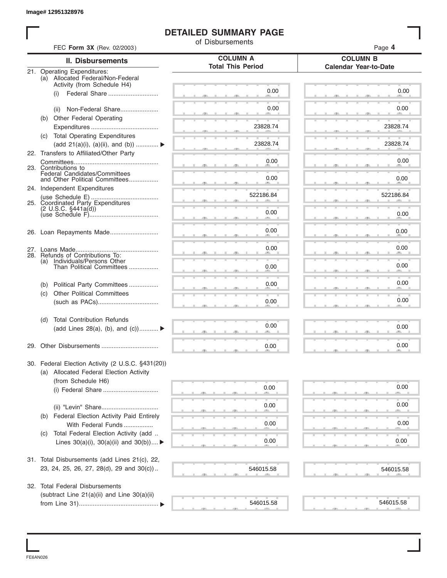## **DETAILED SUMMARY PAGE**

|     |                                                                  | <b>DETAILED SUMMARY PAGE</b><br>of Disbursements |                                                 |
|-----|------------------------------------------------------------------|--------------------------------------------------|-------------------------------------------------|
|     | FEC Form 3X (Rev. 02/2003)                                       |                                                  | Page 4                                          |
|     | <b>II. Disbursements</b>                                         | <b>COLUMN A</b><br><b>Total This Period</b>      | <b>COLUMN B</b><br><b>Calendar Year-to-Date</b> |
|     | 21. Operating Expenditures:<br>(a) Allocated Federal/Non-Federal |                                                  |                                                 |
|     | Activity (from Schedule H4)                                      |                                                  |                                                 |
|     | Federal Share<br>(i)                                             | 0.00                                             | 0.00                                            |
|     |                                                                  | 0.00                                             | 0.00                                            |
|     | Non-Federal Share<br>(ii)                                        |                                                  |                                                 |
|     | (b) Other Federal Operating                                      | 23828.74                                         | 23828.74                                        |
|     | (c) Total Operating Expenditures                                 |                                                  |                                                 |
|     | (add 21(a)(i), (a)(ii), and (b))                                 | 23828.74                                         | 23828.74                                        |
|     | 22. Transfers to Affiliated/Other Party                          |                                                  |                                                 |
|     |                                                                  | 0.00                                             | 0.00                                            |
|     | 23. Contributions to                                             |                                                  |                                                 |
|     | Federal Candidates/Committees<br>and Other Political Committees  | 0.00                                             | 0.00                                            |
|     | 24. Independent Expenditures                                     |                                                  |                                                 |
|     |                                                                  | 522186.84                                        | 522186.84                                       |
|     | 25. Coordinated Party Expenditures                               |                                                  |                                                 |
|     | $(2 \cup S.C. \S441a(d))$                                        | 0.00                                             | 0.00                                            |
|     |                                                                  |                                                  |                                                 |
|     |                                                                  | 0.00                                             | 0.00                                            |
|     |                                                                  |                                                  |                                                 |
|     |                                                                  | 0.00                                             | 0.00                                            |
| (a) | 28. Refunds of Contributions To:<br>Individuals/Persons Other    |                                                  |                                                 |
|     | Than Political Committees                                        | 0.00                                             | 0.00                                            |
|     |                                                                  |                                                  |                                                 |
| (b) | Political Party Committees                                       | 0.00                                             | 0.00                                            |
| (c) | <b>Other Political Committees</b>                                |                                                  |                                                 |
|     |                                                                  | 0.00                                             | 0.00                                            |
| (d) | <b>Total Contribution Refunds</b>                                |                                                  |                                                 |
|     | (add Lines 28(a), (b), and $(c)$ )                               | 0.00                                             | 0.00                                            |
|     |                                                                  |                                                  |                                                 |
|     |                                                                  | 0.00                                             | 0.00                                            |
|     | 30. Federal Election Activity (2 U.S.C. §431(20))                |                                                  |                                                 |
|     | (a) Allocated Federal Election Activity                          |                                                  |                                                 |
|     | (from Schedule H6)                                               |                                                  |                                                 |
|     |                                                                  | 0.00                                             | 0.00                                            |
|     |                                                                  |                                                  |                                                 |
|     |                                                                  | 0.00                                             | 0.00                                            |
| (b) | <b>Federal Election Activity Paid Entirely</b>                   |                                                  |                                                 |
|     | With Federal Funds                                               | 0.00                                             | 0.00                                            |
| (C) | Total Federal Election Activity (add                             |                                                  |                                                 |
|     | Lines $30(a)(i)$ , $30(a)(ii)$ and $30(b))$                      | 0.00                                             | 0.00                                            |
|     |                                                                  |                                                  |                                                 |
|     | 31. Total Disbursements (add Lines 21(c), 22,                    |                                                  |                                                 |
|     | 23, 24, 25, 26, 27, 28(d), 29 and 30(c))                         | 546015.58                                        | 546015.58                                       |
|     | 32. Total Federal Disbursements                                  |                                                  |                                                 |
|     | (subtract Line 21(a)(ii) and Line 30(a)(ii)                      |                                                  |                                                 |
|     |                                                                  | 546015.58                                        | 546015.58                                       |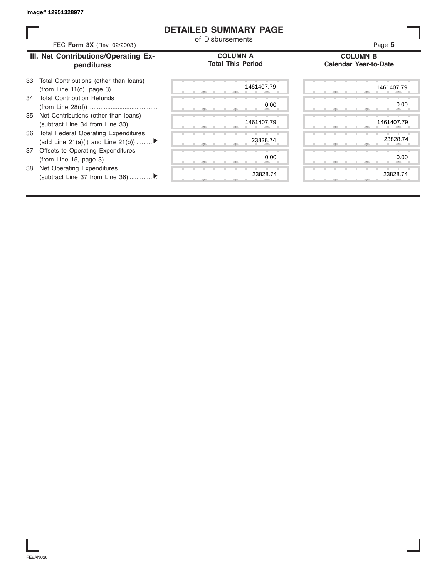### **DETAILED SUMMARY PAGE**

| FEC Form 3X (Rev. 02/2003)                                                     | <b>DETAILED SUMMARY PAGE</b><br>of Disbursements | Page 5                                          |
|--------------------------------------------------------------------------------|--------------------------------------------------|-------------------------------------------------|
| III. Net Contributions/Operating Ex-<br>penditures                             | <b>COLUMN A</b><br><b>Total This Period</b>      | <b>COLUMN B</b><br><b>Calendar Year-to-Date</b> |
| Total Contributions (other than loans)<br>33.                                  | 1461407.79                                       | 1461407.79                                      |
| 34. Total Contribution Refunds                                                 | 0.00                                             | 0.00                                            |
| 35. Net Contributions (other than loans)<br>(subtract Line 34 from Line 33)    | 1461407.79                                       | 1461407.79                                      |
| 36. Total Federal Operating Expenditures<br>(add Line 21(a)(i) and Line 21(b)) | 23828.74                                         | 23828.74                                        |
| 37. Offsets to Operating Expenditures                                          | 0.00                                             | 0.00                                            |
| 38. Net Operating Expenditures                                                 | 23828.74                                         | 23828.74                                        |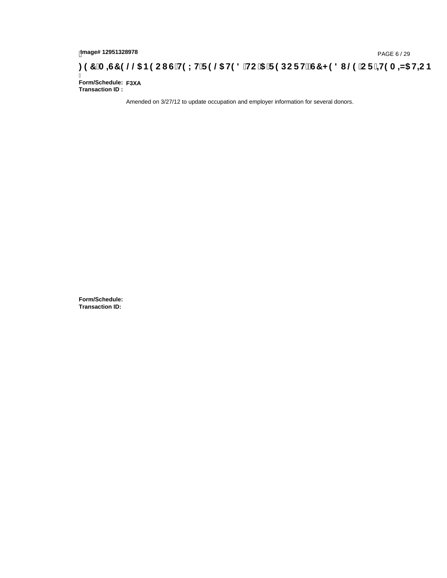## page#12951328978<br>**Denge#12951328978** ( G'H9LH'F9 @5 H98 'HC '5 'F9 DCF HžG7 < 98 I @9 'CF '<del>JI</del>9 A <del>A</del>5 H=CB : 97 'A =67 9 @@5 B9 CI G'H9LH'F9 @5 H98 'HC '5 'F9 DCF HžG7 < 98 I @9 'CF '<del>JI</del>9 A <del>A</del>5 H=CB

Ī **Form/Schedule: F3XATransaction ID :** 

Amended on 3/27/12 to update occupation and employer information for several donors.

**Form/Schedule: Transaction ID:**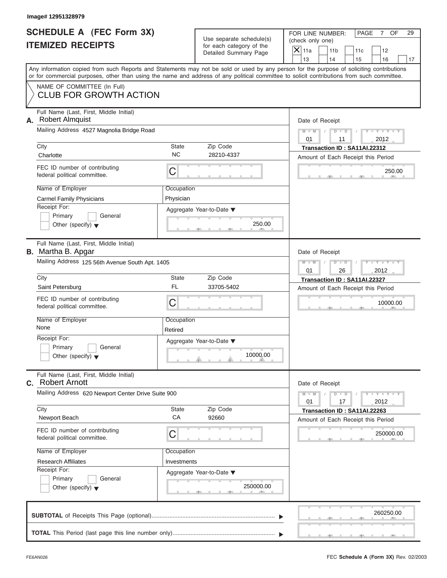### **Image# 12951328979**

|                          | <b>SCHEDULE A (FEC Form 3X)</b> |
|--------------------------|---------------------------------|
| <b>ITEMIZED RECEIPTS</b> |                                 |

FOR LINE NUMBER: PAGE 7 OF<br>(check only one)

| SCHEDULE A (FEC Form 3X)                                                   | Use separate schedule(s)                                                                                                                                                                                                                                                                | FOR LINE NUMBER:<br>PAGE<br>7 OF<br>29<br>(check only one)                     |
|----------------------------------------------------------------------------|-----------------------------------------------------------------------------------------------------------------------------------------------------------------------------------------------------------------------------------------------------------------------------------------|--------------------------------------------------------------------------------|
| <b>ITEMIZED RECEIPTS</b>                                                   | for each category of the<br>Detailed Summary Page                                                                                                                                                                                                                                       | $\mathsf{X}$ 11a<br>11 <sub>b</sub><br>12<br>11c<br>13<br>14<br>15<br>16<br>17 |
|                                                                            | Any information copied from such Reports and Statements may not be sold or used by any person for the purpose of soliciting contributions<br>or for commercial purposes, other than using the name and address of any political committee to solicit contributions from such committee. |                                                                                |
| NAME OF COMMITTEE (In Full)<br><b>CLUB FOR GROWTH ACTION</b>               |                                                                                                                                                                                                                                                                                         |                                                                                |
| Full Name (Last, First, Middle Initial)<br><b>Robert Almquist</b><br>А.    |                                                                                                                                                                                                                                                                                         | Date of Receipt                                                                |
| Mailing Address 4527 Magnolia Bridge Road                                  |                                                                                                                                                                                                                                                                                         | $Y = Y =$<br>$M - M$<br>$D$ $D$<br>2012<br>01<br>11                            |
| City<br>Charlotte                                                          | Zip Code<br><b>State</b><br><b>NC</b><br>28210-4337                                                                                                                                                                                                                                     | Transaction ID: SA11AI.22312<br>Amount of Each Receipt this Period             |
| FEC ID number of contributing<br>federal political committee.              | C                                                                                                                                                                                                                                                                                       | 250.00                                                                         |
| Name of Employer                                                           | Occupation                                                                                                                                                                                                                                                                              |                                                                                |
| <b>Carmel Family Physicians</b>                                            | Physician                                                                                                                                                                                                                                                                               |                                                                                |
| Receipt For:<br>Primary<br>General<br>Other (specify) $\blacktriangledown$ | Aggregate Year-to-Date ▼<br>250.00                                                                                                                                                                                                                                                      |                                                                                |
|                                                                            | - 91                                                                                                                                                                                                                                                                                    |                                                                                |
| Full Name (Last, First, Middle Initial)<br><b>B.</b> Martha B. Apgar       |                                                                                                                                                                                                                                                                                         | Date of Receipt                                                                |
| Mailing Address 125 56th Avenue South Apt. 1405                            | $M - M$<br>D<br>$\blacksquare$<br>26<br>2012<br>01                                                                                                                                                                                                                                      |                                                                                |
| City                                                                       | Zip Code<br><b>State</b>                                                                                                                                                                                                                                                                | Transaction ID: SA11AI.22327                                                   |
| Saint Petersburg                                                           | FL<br>33705-5402                                                                                                                                                                                                                                                                        | Amount of Each Receipt this Period                                             |
| FEC ID number of contributing<br>federal political committee.              | C                                                                                                                                                                                                                                                                                       | 10000.00                                                                       |
| Name of Employer<br>None                                                   | Occupation                                                                                                                                                                                                                                                                              |                                                                                |
| Receipt For:                                                               | Retired                                                                                                                                                                                                                                                                                 |                                                                                |
| Primary<br>General                                                         | Aggregate Year-to-Date ▼                                                                                                                                                                                                                                                                |                                                                                |
| Other (specify) $\blacktriangledown$                                       | 10000.00<br>$\theta$ and $\theta$ and $\theta$                                                                                                                                                                                                                                          |                                                                                |
| Full Name (Last, First, Middle Initial)<br><b>Robert Arnott</b><br>C.      |                                                                                                                                                                                                                                                                                         | Date of Receipt                                                                |
| Mailing Address 620 Newport Center Drive Suite 900                         |                                                                                                                                                                                                                                                                                         | $Y - Y - Y - Y - Y$<br>$M - M$<br>$\overline{D}$<br>$\Box$<br>2012<br>01<br>17 |
| City<br>Newport Beach                                                      | <b>State</b><br>Zip Code<br>СA<br>92660                                                                                                                                                                                                                                                 | Transaction ID: SA11AI.22263<br>Amount of Each Receipt this Period             |
| FEC ID number of contributing<br>federal political committee.              | С                                                                                                                                                                                                                                                                                       | 250000.00                                                                      |
| Name of Employer                                                           | Occupation                                                                                                                                                                                                                                                                              |                                                                                |
| <b>Research Affiliates</b>                                                 | Investments                                                                                                                                                                                                                                                                             |                                                                                |
| Receipt For:                                                               | Aggregate Year-to-Date ▼                                                                                                                                                                                                                                                                |                                                                                |
| Primary<br>General<br>Other (specify) $\blacktriangledown$                 | 250000.00<br>- 9                                                                                                                                                                                                                                                                        |                                                                                |
|                                                                            |                                                                                                                                                                                                                                                                                         | 260250.00                                                                      |

**TOTAL** This Period (last page this line number only) ............................................................... T T

S S S , , .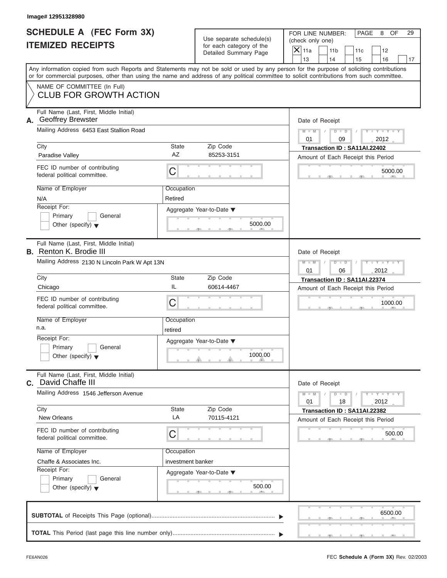### **Image# 12951328980**

|                          | <b>SCHEDULE A (FEC Form 3X)</b> |
|--------------------------|---------------------------------|
| <b>ITEMIZED RECEIPTS</b> |                                 |

FOR LINE NUMBER: PAGE 8 OF<br>(check only one)

| SCHEDULE A (FEC Form 3X)                                                  |                                               | Use separate schedule(s)                      | FOR LINE NUMBER:<br>PAGE<br>8<br>OF<br>29                                                                                                  |  |
|---------------------------------------------------------------------------|-----------------------------------------------|-----------------------------------------------|--------------------------------------------------------------------------------------------------------------------------------------------|--|
| <b>ITEMIZED RECEIPTS</b>                                                  |                                               | for each category of the                      | (check only one)<br>$\vert\mathsf{X}\vert$<br>11a<br>11 <sub>b</sub><br>12<br>11c                                                          |  |
|                                                                           |                                               | Detailed Summary Page                         | 13<br>14<br>16<br>15<br>17                                                                                                                 |  |
|                                                                           |                                               |                                               | Any information copied from such Reports and Statements may not be sold or used by any person for the purpose of soliciting contributions  |  |
|                                                                           |                                               |                                               | or for commercial purposes, other than using the name and address of any political committee to solicit contributions from such committee. |  |
| NAME OF COMMITTEE (In Full)<br><b>CLUB FOR GROWTH ACTION</b>              |                                               |                                               |                                                                                                                                            |  |
| Full Name (Last, First, Middle Initial)<br><b>Geoffrey Brewster</b>       |                                               |                                               | Date of Receipt                                                                                                                            |  |
| Mailing Address 6453 East Stallion Road                                   |                                               |                                               | $Y = Y = Y$<br>$M - M$<br>$D$ $D$<br>2012<br>01<br>09                                                                                      |  |
| City                                                                      | State                                         | Zip Code                                      | Transaction ID: SA11AI.22402                                                                                                               |  |
| Paradise Valley                                                           | AZ                                            | 85253-3151                                    | Amount of Each Receipt this Period                                                                                                         |  |
| FEC ID number of contributing<br>federal political committee.             | С                                             |                                               | 5000.00                                                                                                                                    |  |
| Name of Employer                                                          | Occupation                                    |                                               |                                                                                                                                            |  |
| N/A                                                                       | Retired                                       |                                               |                                                                                                                                            |  |
| Receipt For:                                                              |                                               | Aggregate Year-to-Date ▼                      |                                                                                                                                            |  |
| General<br>Primary<br>Other (specify) $\blacktriangledown$                |                                               | 5000.00                                       |                                                                                                                                            |  |
|                                                                           |                                               | $-$                                           |                                                                                                                                            |  |
| Full Name (Last, First, Middle Initial)<br><b>B.</b> Renton K. Brodie III |                                               |                                               | Date of Receipt                                                                                                                            |  |
|                                                                           | Mailing Address 2130 N Lincoln Park W Apt 13N |                                               |                                                                                                                                            |  |
| City                                                                      | State                                         | Zip Code                                      | 06<br>2012<br>01                                                                                                                           |  |
| Chicago                                                                   | IL                                            | 60614-4467                                    | Transaction ID: SA11AI.22374<br>Amount of Each Receipt this Period                                                                         |  |
| FEC ID number of contributing                                             |                                               |                                               |                                                                                                                                            |  |
| federal political committee.                                              | C                                             |                                               | 1000.00                                                                                                                                    |  |
| Name of Employer<br>n.a.                                                  | Occupation                                    |                                               |                                                                                                                                            |  |
| Receipt For:                                                              | retired                                       |                                               |                                                                                                                                            |  |
| General<br>Primary                                                        |                                               | Aggregate Year-to-Date ▼                      |                                                                                                                                            |  |
| Other (specify) $\blacktriangledown$                                      |                                               | 1000.00<br>$\theta$ and $\theta$ and $\theta$ |                                                                                                                                            |  |
| Full Name (Last, First, Middle Initial)<br>David Chaffe III<br>C.         |                                               |                                               | Date of Receipt                                                                                                                            |  |
| Mailing Address 1546 Jefferson Avenue                                     |                                               |                                               | $Y - Y - Y - Y - Y$<br>$M - M$<br>$\overline{D}$<br>$\Box$<br>18<br>2012<br>01                                                             |  |
| City<br>New Orleans                                                       | State<br>LA                                   | Zip Code<br>70115-4121                        | Transaction ID: SA11AI.22382<br>Amount of Each Receipt this Period                                                                         |  |
| FEC ID number of contributing<br>federal political committee.             | C                                             |                                               | 500.00                                                                                                                                     |  |
| Name of Employer                                                          | Occupation                                    |                                               |                                                                                                                                            |  |
| Chaffe & Associates Inc.                                                  | investment banker                             |                                               |                                                                                                                                            |  |
| Receipt For:                                                              |                                               | Aggregate Year-to-Date ▼                      |                                                                                                                                            |  |
| Primary<br>General<br>Other (specify) $\blacktriangledown$                |                                               | 500.00<br>- 91                                |                                                                                                                                            |  |
|                                                                           |                                               |                                               | 6500.00<br>-90                                                                                                                             |  |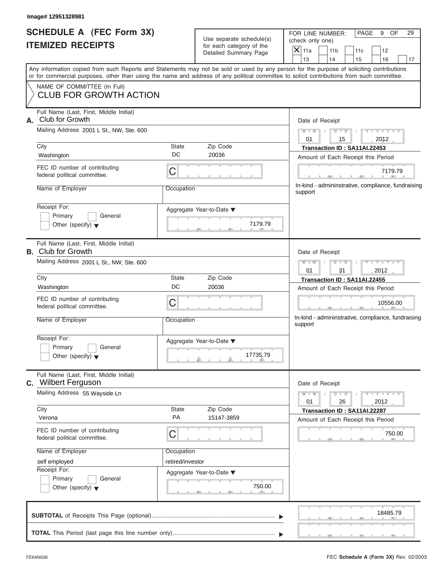### **Image# 12951328981**

|                          | SCHEDULE A (FEC Form 3X) |
|--------------------------|--------------------------|
| <b>ITEMIZED RECEIPTS</b> |                          |

FOR LINE NUMBER: PAGE 9 OF<br>(check only one)

| SCHEDULE A (FEC Form 3X)<br><b>ITEMIZED RECEIPTS</b>                                                                                                                      |                                         | Use separate schedule(s)<br>for each category of the                                        | FOR LINE NUMBER:<br>PAGE<br>9<br>OF<br>29<br>(check only one)<br>$X$ 11a                                                                  |  |  |  |
|---------------------------------------------------------------------------------------------------------------------------------------------------------------------------|-----------------------------------------|---------------------------------------------------------------------------------------------|-------------------------------------------------------------------------------------------------------------------------------------------|--|--|--|
|                                                                                                                                                                           |                                         | Detailed Summary Page                                                                       | 11 <sub>b</sub><br>11c<br>12<br>13<br>14<br>15<br>16<br>17                                                                                |  |  |  |
| or for commercial purposes, other than using the name and address of any political committee to solicit contributions from such committee.<br>NAME OF COMMITTEE (In Full) |                                         |                                                                                             | Any information copied from such Reports and Statements may not be sold or used by any person for the purpose of soliciting contributions |  |  |  |
| <b>CLUB FOR GROWTH ACTION</b>                                                                                                                                             |                                         |                                                                                             |                                                                                                                                           |  |  |  |
| Club for Growth<br>А.                                                                                                                                                     | Full Name (Last, First, Middle Initial) |                                                                                             |                                                                                                                                           |  |  |  |
| Mailing Address 2001 L St., NW, Ste. 600<br>City                                                                                                                          |                                         |                                                                                             |                                                                                                                                           |  |  |  |
| Washington                                                                                                                                                                | State<br>DC                             | Zip Code<br>20036                                                                           | Transaction ID: SA11AI.22453<br>Amount of Each Receipt this Period                                                                        |  |  |  |
| FEC ID number of contributing<br>federal political committee.                                                                                                             | C                                       |                                                                                             | 7179.79                                                                                                                                   |  |  |  |
| Name of Employer                                                                                                                                                          | Occupation                              |                                                                                             | In-kind - admininstrative, compliance, fundraising<br>support                                                                             |  |  |  |
| Receipt For:<br>Primary<br>General<br>Other (specify) $\blacktriangledown$                                                                                                |                                         | Aggregate Year-to-Date ▼<br>7179.79                                                         |                                                                                                                                           |  |  |  |
| Full Name (Last, First, Middle Initial)<br><b>B.</b> Club for Growth                                                                                                      |                                         |                                                                                             | Date of Receipt                                                                                                                           |  |  |  |
| Mailing Address 2001 L St., NW, Ste. 600                                                                                                                                  |                                         |                                                                                             | Y TY<br>$M - M$<br>$D$ $D$<br>2012<br>01<br>31                                                                                            |  |  |  |
| City                                                                                                                                                                      | State                                   | Zip Code                                                                                    | Transaction ID: SA11AI.22455                                                                                                              |  |  |  |
| Washington                                                                                                                                                                | DC                                      | 20036                                                                                       | Amount of Each Receipt this Period                                                                                                        |  |  |  |
| FEC ID number of contributing<br>federal political committee.                                                                                                             | C                                       |                                                                                             | 10556.00<br>In-kind - admininstrative, compliance, fundraising                                                                            |  |  |  |
| Name of Employer                                                                                                                                                          | Occupation                              |                                                                                             | support                                                                                                                                   |  |  |  |
| Receipt For:                                                                                                                                                              |                                         | Aggregate Year-to-Date ▼                                                                    |                                                                                                                                           |  |  |  |
| Primary<br>General<br>Other (specify) $\blacktriangledown$                                                                                                                |                                         | 17735.79<br>$\overline{\mathbf{y}}$ and $\overline{\mathbf{y}}$ and $\overline{\mathbf{y}}$ |                                                                                                                                           |  |  |  |
| Full Name (Last, First, Middle Initial)<br><b>Wilbert Ferguson</b><br>C.                                                                                                  |                                         |                                                                                             | Date of Receipt                                                                                                                           |  |  |  |
| Mailing Address 55 Wayside Ln                                                                                                                                             |                                         |                                                                                             | $M - M$<br>$-1 - Y$ $-1 - Y$ $-1$<br>$D$ $D$<br>26<br>01<br>2012                                                                          |  |  |  |
| City<br>Verona                                                                                                                                                            | <b>State</b><br><b>PA</b>               | Zip Code<br>15147-3859                                                                      | Transaction ID: SA11AI.22287<br>Amount of Each Receipt this Period                                                                        |  |  |  |
| FEC ID number of contributing<br>federal political committee.                                                                                                             | C                                       |                                                                                             | 750.00                                                                                                                                    |  |  |  |
| Name of Employer                                                                                                                                                          | Occupation                              |                                                                                             |                                                                                                                                           |  |  |  |
| self employed                                                                                                                                                             | retired/investor                        |                                                                                             |                                                                                                                                           |  |  |  |
| Receipt For:<br>Primary<br>General<br>Other (specify) $\blacktriangledown$                                                                                                |                                         | Aggregate Year-to-Date ▼<br>750.00                                                          |                                                                                                                                           |  |  |  |
|                                                                                                                                                                           |                                         |                                                                                             | 18485.79                                                                                                                                  |  |  |  |
|                                                                                                                                                                           |                                         |                                                                                             |                                                                                                                                           |  |  |  |

S S S , , .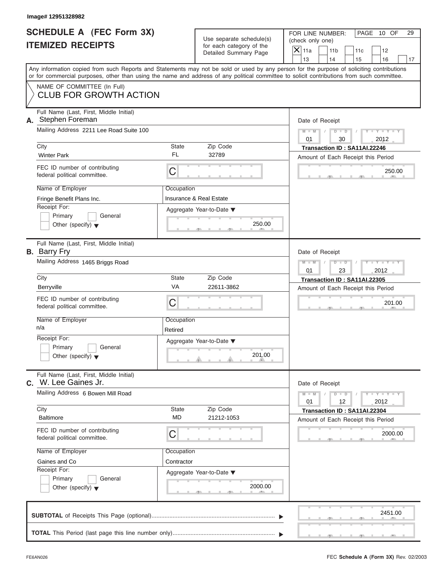|                          | <b>SCHEDULE A (FEC Form 3X)</b> |
|--------------------------|---------------------------------|
| <b>ITEMIZED RECEIPTS</b> |                                 |

|                                                             | Image# 12951328982                                                                                                                                                                                                                                                                      |                           |                                                                               |                                            |                                           |                                                                    |                             |          |
|-------------------------------------------------------------|-----------------------------------------------------------------------------------------------------------------------------------------------------------------------------------------------------------------------------------------------------------------------------------------|---------------------------|-------------------------------------------------------------------------------|--------------------------------------------|-------------------------------------------|--------------------------------------------------------------------|-----------------------------|----------|
| <b>SCHEDULE A (FEC Form 3X)</b><br><b>ITEMIZED RECEIPTS</b> |                                                                                                                                                                                                                                                                                         |                           | Use separate schedule(s)<br>for each category of the<br>Detailed Summary Page | (check only one)<br>$\mathsf{X}$ 11a<br>13 | FOR LINE NUMBER:<br>11 <sub>b</sub><br>14 | 11c<br>15                                                          | PAGE 10 OF<br>12<br>16      | 29<br>17 |
|                                                             | Any information copied from such Reports and Statements may not be sold or used by any person for the purpose of soliciting contributions<br>or for commercial purposes, other than using the name and address of any political committee to solicit contributions from such committee. |                           |                                                                               |                                            |                                           |                                                                    |                             |          |
|                                                             | NAME OF COMMITTEE (In Full)<br><b>CLUB FOR GROWTH ACTION</b>                                                                                                                                                                                                                            |                           |                                                                               |                                            |                                           |                                                                    |                             |          |
|                                                             | Full Name (Last, First, Middle Initial)<br>A. Stephen Foreman                                                                                                                                                                                                                           |                           |                                                                               |                                            | Date of Receipt                           |                                                                    |                             |          |
|                                                             | Mailing Address 2211 Lee Road Suite 100                                                                                                                                                                                                                                                 |                           |                                                                               | $M - M$<br>01                              | $D$ $D$<br>30                             |                                                                    | $Y - Y - Y - Y - I$<br>2012 |          |
|                                                             | City<br><b>Winter Park</b>                                                                                                                                                                                                                                                              | <b>State</b><br><b>FL</b> | Zip Code<br>32789                                                             |                                            |                                           | Transaction ID: SA11AI.22246<br>Amount of Each Receipt this Period |                             |          |
|                                                             | FEC ID number of contributing<br>federal political committee.                                                                                                                                                                                                                           | C                         |                                                                               |                                            |                                           |                                                                    | 250.00                      |          |
|                                                             | Name of Employer<br>Fringe Benefit Plans Inc.                                                                                                                                                                                                                                           | Occupation                | <b>Insurance &amp; Real Estate</b>                                            |                                            |                                           |                                                                    |                             |          |
|                                                             | Receipt For:<br>Primary<br>General<br>Other (specify) $\blacktriangledown$                                                                                                                                                                                                              |                           | Aggregate Year-to-Date ▼<br>250.00                                            |                                            |                                           |                                                                    |                             |          |
|                                                             | Full Name (Last, First, Middle Initial)<br><b>B.</b> Barry Fry                                                                                                                                                                                                                          |                           |                                                                               |                                            | Date of Receipt                           |                                                                    |                             |          |
|                                                             | Mailing Address 1465 Briggs Road                                                                                                                                                                                                                                                        |                           |                                                                               | $M - M$<br>01                              | $D$ $D$<br>23                             |                                                                    | $Y - Y - Y - Y - Y$<br>2012 |          |
|                                                             | City<br>Berryville                                                                                                                                                                                                                                                                      | <b>State</b><br>VA        | Zip Code<br>22611-3862                                                        |                                            |                                           | Transaction ID: SA11AI.22305<br>Amount of Each Receipt this Period |                             |          |
|                                                             | FEC ID number of contributing<br>federal political committee.                                                                                                                                                                                                                           | C                         |                                                                               |                                            |                                           |                                                                    | 201.00                      |          |
|                                                             | Name of Employer<br>n/a                                                                                                                                                                                                                                                                 | Occupation<br>Retired     |                                                                               |                                            |                                           |                                                                    |                             |          |
|                                                             | Receipt For:<br>Primary<br>General<br>Other (specify) $\blacktriangledown$                                                                                                                                                                                                              |                           | Aggregate Year-to-Date ▼<br>201.00                                            |                                            |                                           |                                                                    |                             |          |
|                                                             | Full Name (Last, First, Middle Initial)<br>C. W. Lee Gaines Jr.                                                                                                                                                                                                                         |                           |                                                                               |                                            | Date of Receipt                           |                                                                    |                             |          |
|                                                             | Mailing Address 6 Bowen Mill Road                                                                                                                                                                                                                                                       |                           |                                                                               | $M - M$<br>01                              | $D$ $D$<br>12                             |                                                                    | $Y - Y - Y - Y - I$<br>2012 |          |
|                                                             | City<br><b>Baltimore</b>                                                                                                                                                                                                                                                                | State<br><b>MD</b>        | Zip Code<br>21212-1053                                                        |                                            |                                           | Transaction ID: SA11AI.22304<br>Amount of Each Receipt this Period |                             |          |
|                                                             | FEC ID number of contributing<br>federal political committee.                                                                                                                                                                                                                           | C                         |                                                                               |                                            |                                           |                                                                    | 2000.00                     |          |
|                                                             | Name of Employer                                                                                                                                                                                                                                                                        | Occupation                |                                                                               |                                            |                                           |                                                                    |                             |          |
|                                                             | Gaines and Co<br>Receipt For:<br>Primary<br>General<br>Other (specify) $\blacktriangledown$                                                                                                                                                                                             | Contractor                | Aggregate Year-to-Date ▼<br>2000.00                                           |                                            |                                           |                                                                    |                             |          |
|                                                             | CURTOTAL of Possints This Page (optional)                                                                                                                                                                                                                                               |                           |                                                                               |                                            |                                           |                                                                    | 2451.00                     |          |

|  |  |  |  | 2451.00 | <u>in the second contract of the second contract of the second contract of the second contract of the second contract of the second contract of the second contract of the second contract of the second contract of the second </u> |
|--|--|--|--|---------|--------------------------------------------------------------------------------------------------------------------------------------------------------------------------------------------------------------------------------------|
|  |  |  |  |         | <u>Union and a second companies and a second control</u>                                                                                                                                                                             |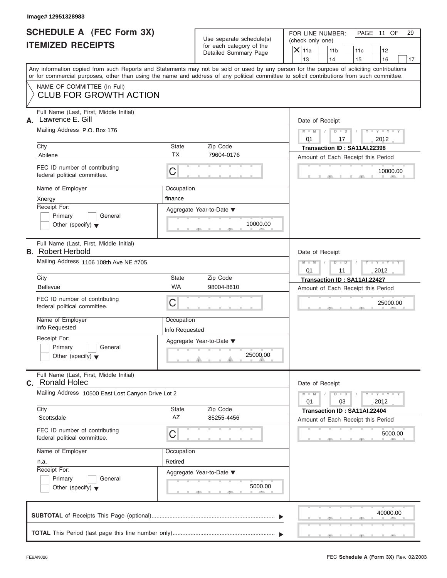|                          | SCHEDULE A (FEC Form 3X) |
|--------------------------|--------------------------|
| <b>ITEMIZED RECEIPTS</b> |                          |

|    | Image# 12951328983                                                                                                                                                                                                                                                                                                |                                                  |                                                                               |                                                                                                                                                            |
|----|-------------------------------------------------------------------------------------------------------------------------------------------------------------------------------------------------------------------------------------------------------------------------------------------------------------------|--------------------------------------------------|-------------------------------------------------------------------------------|------------------------------------------------------------------------------------------------------------------------------------------------------------|
|    | <b>SCHEDULE A (FEC Form 3X)</b><br><b>ITEMIZED RECEIPTS</b>                                                                                                                                                                                                                                                       |                                                  | Use separate schedule(s)<br>for each category of the<br>Detailed Summary Page | FOR LINE NUMBER:<br>PAGE 11 OF<br>29<br>(check only one)<br>$\mathsf{X}$ 11a<br>11 <sub>b</sub><br>11c<br>12<br>13<br>14<br>15<br>16<br>17                 |
|    | or for commercial purposes, other than using the name and address of any political committee to solicit contributions from such committee.                                                                                                                                                                        |                                                  |                                                                               | Any information copied from such Reports and Statements may not be sold or used by any person for the purpose of soliciting contributions                  |
|    | NAME OF COMMITTEE (In Full)<br><b>CLUB FOR GROWTH ACTION</b>                                                                                                                                                                                                                                                      |                                                  |                                                                               |                                                                                                                                                            |
| А. | Full Name (Last, First, Middle Initial)<br>Lawrence E. Gill<br>Mailing Address P.O. Box 176<br>City<br>Abilene<br>FEC ID number of contributing<br>federal political committee.<br>Name of Employer<br>Xnergy<br>Receipt For:<br>Primary<br>General<br>Other (specify) $\blacktriangledown$                       | State<br><b>TX</b><br>C<br>Occupation<br>finance | Zip Code<br>79604-0176<br>Aggregate Year-to-Date ▼<br>10000.00                | Date of Receipt<br>$M - M$<br>$D$ $D$<br>$Y - Y - Y$<br>01<br>2012<br>17<br>Transaction ID: SA11AI.22398<br>Amount of Each Receipt this Period<br>10000.00 |
|    | Full Name (Last, First, Middle Initial)<br><b>B.</b> Robert Herbold<br>Mailing Address 1106 108th Ave NE #705<br>City                                                                                                                                                                                             | State                                            | Zip Code                                                                      | Date of Receipt<br>Y TY TY<br>$M - M$<br>$D$ $D$<br>01<br>11<br>2012                                                                                       |
|    | <b>Bellevue</b><br>FEC ID number of contributing<br>federal political committee.<br>Name of Employer<br>Info Requested<br>Receipt For:<br>Primary<br>General<br>Other (specify) $\blacktriangledown$                                                                                                              | <b>WA</b><br>С<br>Occupation<br>Info Requested   | 98004-8610<br>Aggregate Year-to-Date ▼<br>25000.00                            | Transaction ID: SA11AI.22427<br>Amount of Each Receipt this Period<br>25000.00                                                                             |
|    | Full Name (Last, First, Middle Initial)<br>C. Ronald Holec<br>Mailing Address 10500 East Lost Canyon Drive Lot 2<br>City<br>Scottsdale<br>FEC ID number of contributing<br>federal political committee.<br>Name of Employer<br>n.a.<br>Receipt For:<br>Primary<br>General<br>Other (specify) $\blacktriangledown$ | State<br>AZ<br>С<br>Occupation<br>Retired        | Zip Code<br>85255-4456<br>Aggregate Year-to-Date ▼<br>5000.00                 | Date of Receipt<br>$M - M$<br>$Y = Y$<br>$D - D$<br>2012<br>01<br>03<br>Transaction ID: SA11AI.22404<br>Amount of Each Receipt this Period<br>5000.00      |
|    |                                                                                                                                                                                                                                                                                                                   |                                                  |                                                                               | 40000.00                                                                                                                                                   |
|    |                                                                                                                                                                                                                                                                                                                   |                                                  |                                                                               |                                                                                                                                                            |

 $S = \{x_1, x_2, \ldots, x_{n-1}, x_{n-1}, \ldots, x_{n-1}, x_{n-1}, \ldots, x_{n-1}, x_{n-1}, \ldots, x_{n-1}, x_{n-1}, \ldots, x_{n-1}, x_{n-1}, \ldots, x_{n-1}, x_{n-1}, \ldots, x_{n-1}, \ldots, x_{n-1}, \ldots, x_{n-1}, \ldots, x_{n-1}, \ldots, x_{n-1}, \ldots, x_{n-1}, \ldots, x_{n-1}, \ldots, x_{n-1}, \ldots, x_{n-1}, \ldots, x_{n-1}, \ldots, x_{n-1}, \ld$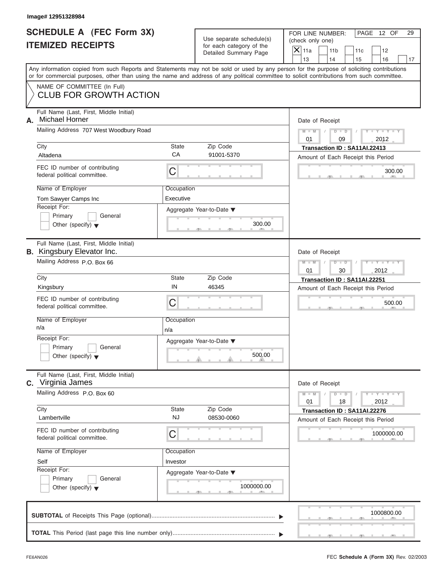|                          | <b>SCHEDULE A (FEC Form 3X)</b> |
|--------------------------|---------------------------------|
| <b>ITEMIZED RECEIPTS</b> |                                 |

| Image# 12951328984                                                           |                         |                                                                               |                                                                                                                                                                                                                                                                                         |
|------------------------------------------------------------------------------|-------------------------|-------------------------------------------------------------------------------|-----------------------------------------------------------------------------------------------------------------------------------------------------------------------------------------------------------------------------------------------------------------------------------------|
| SCHEDULE A (FEC Form 3X)<br><b>ITEMIZED RECEIPTS</b>                         |                         | Use separate schedule(s)<br>for each category of the<br>Detailed Summary Page | FOR LINE NUMBER:<br>PAGE 12 OF<br>29<br>(check only one)<br>$\mathsf{X}$ 11a<br>12<br>11 <sub>b</sub><br>11c                                                                                                                                                                            |
|                                                                              |                         |                                                                               | 13<br>14<br>15<br>16<br>17                                                                                                                                                                                                                                                              |
|                                                                              |                         |                                                                               | Any information copied from such Reports and Statements may not be sold or used by any person for the purpose of soliciting contributions<br>or for commercial purposes, other than using the name and address of any political committee to solicit contributions from such committee. |
| NAME OF COMMITTEE (In Full)<br><b>CLUB FOR GROWTH ACTION</b>                 |                         |                                                                               |                                                                                                                                                                                                                                                                                         |
| Full Name (Last, First, Middle Initial)<br><b>Michael Horner</b><br>А.       |                         |                                                                               | Date of Receipt                                                                                                                                                                                                                                                                         |
| Mailing Address 707 West Woodbury Road                                       |                         |                                                                               | $D$ $D$<br>$Y - Y - Y - Y - Y$<br>$M - M$<br>01<br>09<br>2012                                                                                                                                                                                                                           |
| City<br>Altadena                                                             | State<br>CA             | Zip Code<br>91001-5370                                                        | Transaction ID: SA11AI.22413                                                                                                                                                                                                                                                            |
| FEC ID number of contributing<br>federal political committee.                | C                       |                                                                               | Amount of Each Receipt this Period<br>300.00                                                                                                                                                                                                                                            |
| Name of Employer<br>Tom Sawyer Camps Inc                                     | Occupation<br>Executive |                                                                               |                                                                                                                                                                                                                                                                                         |
| Receipt For:<br>Primary<br>General<br>Other (specify) $\blacktriangledown$   |                         | Aggregate Year-to-Date ▼<br>300.00                                            |                                                                                                                                                                                                                                                                                         |
| Full Name (Last, First, Middle Initial)<br><b>B.</b> Kingsbury Elevator Inc. |                         |                                                                               | Date of Receipt                                                                                                                                                                                                                                                                         |
| Mailing Address P.O. Box 66                                                  |                         |                                                                               | $Y - Y - Y - Y - Y$<br>$M - M$<br>$D$ $\Box$ $D$<br>2012<br>01<br>30                                                                                                                                                                                                                    |
| City                                                                         | State<br>IN             | Zip Code                                                                      | Transaction ID: SA11AI.22251                                                                                                                                                                                                                                                            |
| Kingsbury                                                                    |                         | 46345                                                                         | Amount of Each Receipt this Period                                                                                                                                                                                                                                                      |
| FEC ID number of contributing<br>federal political committee.                | C                       |                                                                               | 500.00                                                                                                                                                                                                                                                                                  |
| Name of Employer<br>n/a                                                      | Occupation<br>n/a       |                                                                               |                                                                                                                                                                                                                                                                                         |
| Receipt For:<br>Primary<br>General<br>Other (specify) $\blacktriangledown$   |                         | Aggregate Year-to-Date ▼<br>500.00                                            |                                                                                                                                                                                                                                                                                         |
| Full Name (Last, First, Middle Initial)<br>Virginia James<br>C.              |                         |                                                                               | Date of Receipt                                                                                                                                                                                                                                                                         |
| Mailing Address P.O. Box 60                                                  |                         |                                                                               | $Y = Y$<br>$M - M$<br>$D$ $D$<br>01<br>18<br>2012                                                                                                                                                                                                                                       |
| City<br>Lambertville                                                         | State<br><b>NJ</b>      | Zip Code<br>08530-0060                                                        | Transaction ID: SA11AI.22276<br>Amount of Each Receipt this Period                                                                                                                                                                                                                      |
| FEC ID number of contributing<br>federal political committee.                | С                       |                                                                               | 1000000.00                                                                                                                                                                                                                                                                              |
| Name of Employer                                                             | Occupation              |                                                                               |                                                                                                                                                                                                                                                                                         |
| Self<br>Receipt For:                                                         | Investor                |                                                                               |                                                                                                                                                                                                                                                                                         |
| Primary<br>General                                                           |                         | Aggregate Year-to-Date ▼                                                      |                                                                                                                                                                                                                                                                                         |
| Other (specify) $\blacktriangledown$                                         |                         | 1000000.00                                                                    |                                                                                                                                                                                                                                                                                         |
|                                                                              |                         |                                                                               | 1000800.00                                                                                                                                                                                                                                                                              |
|                                                                              |                         |                                                                               |                                                                                                                                                                                                                                                                                         |

سي ال

S S S , , .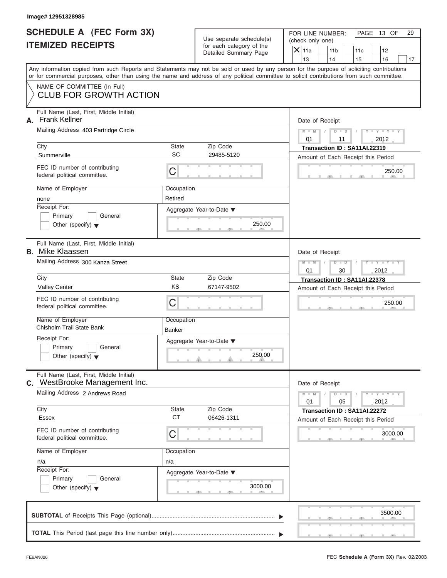| SCHEDULE A (FEC Form 3X) |  |  |
|--------------------------|--|--|
| <b>ITEMIZED RECEIPTS</b> |  |  |

| Image# 12951328985                                                          |                             |                                                      |                                                                                                                                                                                                                                                                                         |
|-----------------------------------------------------------------------------|-----------------------------|------------------------------------------------------|-----------------------------------------------------------------------------------------------------------------------------------------------------------------------------------------------------------------------------------------------------------------------------------------|
| <b>SCHEDULE A (FEC Form 3X)</b><br><b>ITEMIZED RECEIPTS</b>                 |                             | Use separate schedule(s)<br>for each category of the | FOR LINE NUMBER:<br>PAGE 13 OF<br>29<br>(check only one)<br>$\mathsf{X}$ 11a<br>11 <sub>b</sub><br>11c<br>12                                                                                                                                                                            |
|                                                                             |                             | Detailed Summary Page                                | 13<br>14<br>15<br>16<br>17                                                                                                                                                                                                                                                              |
|                                                                             |                             |                                                      | Any information copied from such Reports and Statements may not be sold or used by any person for the purpose of soliciting contributions<br>or for commercial purposes, other than using the name and address of any political committee to solicit contributions from such committee. |
| NAME OF COMMITTEE (In Full)<br><b>CLUB FOR GROWTH ACTION</b>                |                             |                                                      |                                                                                                                                                                                                                                                                                         |
| Full Name (Last, First, Middle Initial)<br><b>Frank Kellner</b><br>А.       |                             |                                                      | Date of Receipt                                                                                                                                                                                                                                                                         |
| Mailing Address 403 Partridge Circle                                        |                             |                                                      | $D$ $D$<br>Y F Y F Y F Y<br>$M - M$<br>01<br>2012<br>11                                                                                                                                                                                                                                 |
| City                                                                        | <b>State</b>                | Zip Code                                             | Transaction ID: SA11AI.22319                                                                                                                                                                                                                                                            |
| Summerville                                                                 | SC                          | 29485-5120                                           | Amount of Each Receipt this Period                                                                                                                                                                                                                                                      |
| FEC ID number of contributing<br>federal political committee.               | C                           |                                                      | 250.00                                                                                                                                                                                                                                                                                  |
| Name of Employer                                                            | Occupation                  |                                                      |                                                                                                                                                                                                                                                                                         |
| none                                                                        | Retired                     |                                                      |                                                                                                                                                                                                                                                                                         |
| Receipt For:<br>Primary<br>General                                          |                             | Aggregate Year-to-Date ▼                             |                                                                                                                                                                                                                                                                                         |
| Other (specify) $\blacktriangledown$                                        |                             | 250.00                                               |                                                                                                                                                                                                                                                                                         |
| Full Name (Last, First, Middle Initial)<br><b>B.</b> Mike Klaassen          |                             |                                                      | Date of Receipt                                                                                                                                                                                                                                                                         |
| Mailing Address 300 Kanza Street                                            |                             |                                                      | Y T Y T Y T<br>$M - M$<br>$D$ $D$<br>2012<br>01<br>30                                                                                                                                                                                                                                   |
| City                                                                        | State                       | Zip Code                                             | Transaction ID: SA11AI.22378                                                                                                                                                                                                                                                            |
| <b>Valley Center</b>                                                        | KS                          | 67147-9502                                           | Amount of Each Receipt this Period                                                                                                                                                                                                                                                      |
| FEC ID number of contributing<br>federal political committee.               | C                           |                                                      | 250.00                                                                                                                                                                                                                                                                                  |
| Name of Employer<br>Chisholm Trail State Bank                               | Occupation<br><b>Banker</b> |                                                      |                                                                                                                                                                                                                                                                                         |
| Receipt For:                                                                |                             | Aggregate Year-to-Date ▼                             |                                                                                                                                                                                                                                                                                         |
| Primary<br>General<br>Other (specify) $\blacktriangledown$                  |                             | 250.00                                               |                                                                                                                                                                                                                                                                                         |
| Full Name (Last, First, Middle Initial)<br>WestBrooke Management Inc.<br>C. |                             |                                                      | Date of Receipt                                                                                                                                                                                                                                                                         |
| Mailing Address 2 Andrews Road                                              |                             |                                                      | $Y = Y$<br>$M - M$<br>$D$ $D$<br>2012<br>01<br>05                                                                                                                                                                                                                                       |
| City<br>Essex                                                               | <b>State</b><br><b>CT</b>   | Zip Code<br>06426-1311                               | Transaction ID: SA11AI.22272<br>Amount of Each Receipt this Period                                                                                                                                                                                                                      |
| FEC ID number of contributing<br>federal political committee.               | C                           |                                                      | 3000.00                                                                                                                                                                                                                                                                                 |
| Name of Employer                                                            | Occupation                  |                                                      |                                                                                                                                                                                                                                                                                         |
| n/a                                                                         | n/a                         |                                                      |                                                                                                                                                                                                                                                                                         |
| Receipt For:                                                                |                             | Aggregate Year-to-Date ▼                             |                                                                                                                                                                                                                                                                                         |
| Primary<br>General<br>Other (specify) $\blacktriangledown$                  |                             | 3000.00                                              |                                                                                                                                                                                                                                                                                         |
|                                                                             |                             |                                                      | 3500.00                                                                                                                                                                                                                                                                                 |
|                                                                             |                             |                                                      |                                                                                                                                                                                                                                                                                         |

S S S , , .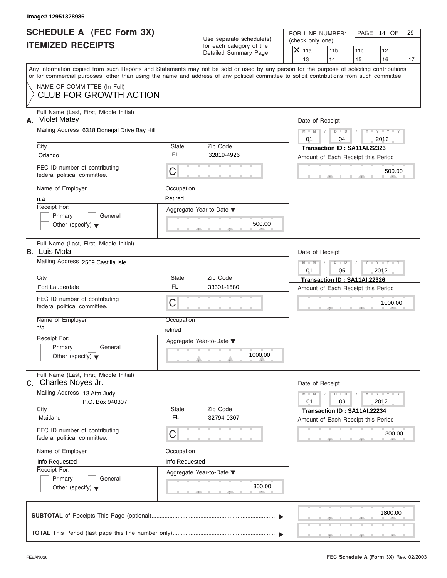|                          | <b>SCHEDULE A (FEC Form 3X)</b> |  |
|--------------------------|---------------------------------|--|
| <b>ITEMIZED RECEIPTS</b> |                                 |  |

Use separate schedule(s) (check only one) for each category of the

FOR LINE NUMBER: PAGE 14 OF

 $\frac{500.1}{2}$ Aggregate Year-to-Date ▼  $\frac{500.0}{2}$ C C S S S , , .  $\frac{300}{1}$  $\sim$  s  $\sim$  s  $\sim$  s  $\sim$  s  $\sim$  s  $\sim$  s  $\sim$ C **M + M M M / D D / Y Y Y Y M M / D D / Y Y Y Y** 1000.00  $\frac{300}{1}$ Any information copied from such Reports and Statements may not be sold or used by any person for the purpose of soliciting contributions or for commercial purposes, other than using the name and address of any political committee to solicit contributions from such committee. NAME OF COMMITTEE (In Full) Full Name (Last, First, Middle Initial) Mailing Address 6318 Donegal Drive Bay Hill City City Code City State Zip Code Receipt For: Primary **General**  $\vert$  Other (specify)  $\blacktriangledown$ Amount of Each Receipt this Period **A.** Date of Receipt Name of Employer <br>
Occupation FEC ID number of contributing federal political committee. Full Name (Last, First, Middle Initial) Mailing Address 2509 Castilla Isle City **State** Zip Code Receipt For: Primary **General Other (specify)** ▼ Amount of Each Receipt this Period **B.** Luis Mola Aggregate Year-to-Date ▼ Date of Receipt Name of Employer <br>
Occupation FEC ID number of contributing federal political committee. Full Name (Last, First, Middle Initial) Mailing Address 13 Attn Judy City **State** Zip Code Receipt For: Primary **General**  $\vert$  Other (specify)  $\blacktriangledown$ Amount of Each Receipt this Period **C.** Charles Noves Jr. Aggregate Year-to-Date ▼ Date of Receipt Name of Employer <br>
Occupation FEC ID number of contributing federal political committee. Detailed Summary Page  $\begin{array}{|c|c|c|c|c|}\n\hline\n\text{Detailed Summary Page} \\
\hline\n\end{array}\n\quad\n\begin{array}{|c|c|c|c|c|}\n\hline\n\text{11a} & \text{11b} & \text{11c} & \text{12} \\
\hline\n\text{13} & \text{14} & \text{15} & \text{16}\n\end{array}$ | 13 | | 14 | | 15 | | 16 | | 17 1000.00<br>
Date of Receipt<br>
01<br>
09<br>
2012<br>
Transaction ID : SA11AI.22234<br>
Amount of Each Receipt this Period<br>
300.00 CLUB FOR GROWTH ACTION<br>
Note that the state into Mode white<br>
Note that the state and control of the state into the state and control of the state and control of the state and control of the state and control of the state **Crimade Control of Encyclopedia Crimade Crimade Crimade Crimade Crimade Crimade Crimade Crimade Crimade Crimade Crimade Crimade Crimade Crimade Crimade Crimade Crimade Crimade Crimade Crimade Crimade Crimade Crimade Cri** Using Motive of Controllecting<br>
Transaction Distribution ID : SA11A1.22323<br>
Nextransaction Info Received Property (Controllection Info Received Property (Controllection Info Received Property (Controllection Internet Con City<br>
Chando Chando Transaction D:<br>
Tech D number of contributing<br>
FEC ID number of contributing<br>
Name of Employer<br>
Name of Employer<br>
Paced primary<br>
Channel Chando Channel Contributing<br>
Paced Point (specifyl **Tech Diverse INSORT USE CONFIDENT ACCOUNT ACCOUNT ACCOUNT ACCOUNT ACCOUNT ACCOUNT ACCOUNT ACCOUNT ACCOUNT ACCOUNT ACCOUNT ACCOUNT ACCOUNT ACCOUNT ACCOUNT ACCOUNT ACCOUNT ACCOUNT ACCOUNT ACCOUNT ACCOUNT ACCOUNT ACCOUNT ACCOUNT ACCOUNT** 

|  |  | the contract of the contract of the contract of |  |  |  | 1800.00 |                                                                                                                 |  |
|--|--|-------------------------------------------------|--|--|--|---------|-----------------------------------------------------------------------------------------------------------------|--|
|  |  |                                                 |  |  |  |         |                                                                                                                 |  |
|  |  |                                                 |  |  |  |         | the contract of the contract of the contract of the contract of the contract of the contract of the contract of |  |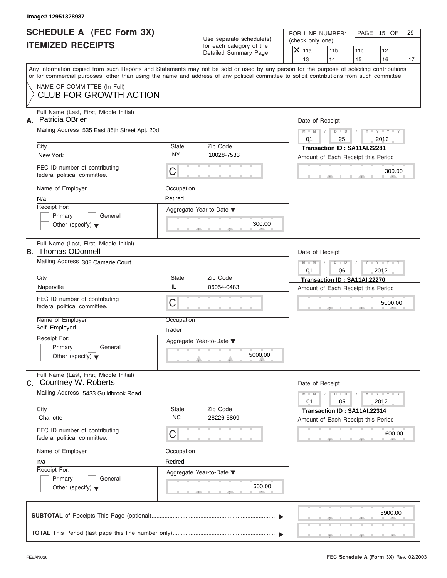| SCHEDULE A (FEC Form 3X) |  |  |
|--------------------------|--|--|
| <b>ITEMIZED RECEIPTS</b> |  |  |

Use separate schedule(s) (check only one) for each category of the

FOR LINE NUMBER: PAGE 15 OF

 $\frac{300.1}{2}$ Aggregate Year-to-Date ▼  $\frac{300.0}{2}$ C  $C$   $\overline{\phantom{0}}$   $\overline{\phantom{0}}$   $\overline{\phantom{0}}$   $\overline{\phantom{0}}$   $\overline{\phantom{0}}$   $\overline{\phantom{0}}$   $\overline{\phantom{0}}$   $\overline{\phantom{0}}$   $\overline{\phantom{0}}$   $\overline{\phantom{0}}$   $\overline{\phantom{0}}$   $\overline{\phantom{0}}$   $\overline{\phantom{0}}$   $\overline{\phantom{0}}$   $\overline{\phantom{0}}$   $\overline{\phantom{0}}$   $\overline{\phantom{0}}$   $\overline{\phantom{0}}$   $\begin{array}{|c|c|c|c|c|}\n\hline\n\text{S} & \text{S} & \text{S} & \text{S} \\
\hline\n\text{S} & \text{S} & \text{S} & \text{S} & \text{S} \\
\hline\n\text{S} & \text{S} & \text{S} & \text{S} & \text{S} \\
\hline\n\text{S} & \text{S} & \text{S} & \text{S} & \text{S} \\
\hline\n\text{S} & \text{S} & \text{S} & \text{S} & \text{S} \\
\hline\n\text{S} & \text{S} & \text{S} & \text{S} & \text{S} & \text{S$  $\sim$  s  $\sim$  s  $\sim$  s  $\sim$  s  $\sim$  s  $\sim$  s  $\sim$ C **M + M M M / D D / Y Y Y Y M - M / D - D** 5000.00  $,$  600 Any information copied from such Reports and Statements may not be sold or used by any person for the purpose of soliciting contributions or for commercial purposes, other than using the name and address of any political committee to solicit contributions from such committee. NAME OF COMMITTEE (In Full) Full Name (Last, First, Middle Initial) Mailing Address 535 East 86th Street Apt. 20d City City Code City State Zip Code Receipt For: Primary **General**  $\vert$  Other (specify)  $\blacktriangledown$ Amount of Each Receipt this Period **A.** Date of Receipt Name of Employer <br>
Occupation FEC ID number of contributing federal political committee. Full Name (Last, First, Middle Initial) Mailing Address 308 Camarie Court City **State** Zip Code Receipt For: Primary **General Other (specify)** ▼ Amount of Each Receipt this Period **B.** Thomas ODonnell Aggregate Year-to-Date ▼ Date of Receipt Name of Employer | Occupation FEC ID number of contributing federal political committee. Full Name (Last, First, Middle Initial) Mailing Address 5433 Guildbrook Road City **State** Zip Code Receipt For: Primary **General**  $\vert$  Other (specify)  $\blacktriangledown$ Amount of Each Receipt this Period **C.** Courtney W. Roberts Aggregate Year-to-Date ▼ Date of Receipt Name of Employer <br>
Occupation FEC ID number of contributing federal political committee. Detailed Summary Page  $\begin{array}{|c|c|c|c|c|}\n\hline\n\text{Detailed Summary Page} \\
\hline\n\end{array}\n\quad\n\begin{array}{|c|c|c|c|c|}\n\hline\n\text{11a} & \text{11b} & \text{11c} & \text{12} \\
\hline\n\text{13} & \text{14} & \text{15} & \text{16}\n\end{array}$ | 13 | | 14 | | 15 | | 16 | | 17 5000.00<br>
Date of Receipt<br>
01<br>
05<br>
Transaction ID : SA11AI.22314<br>
Amount of Each Receipt this Period<br>
600.00 CLUB FOR GROWTH ACTION<br>
Ratins Center Court 535 East 86th Street Apt. 20d<br>
New York Camerican Street Apple Court 536 East 86th Street Apt. 20d 54th Street Apple Court 54th Street Apple Court 54th Street Apple Court 545 Ca New York Mevide Marino discribing<br>
Engels pointed of Decipation<br>
Naper of Employer Coordination<br>
Naper of Employer Charlotte Napel (Second Coordination Internation Internation Internation Internation Internation Internati Chy York Siste 20 Controlled Mathemas and Controlled Mathemas and Controlled Mathemas and Controlled Mathemas and Controlled Mathemas and Controlled Mathemas and Controlled Mathemas and Controlled Mathemas and Controlled City<br>
New York<br>
FEC ID number of contributing<br>
FEC ID number of contributing<br>
Nederal political committee.<br>
Name of Employer<br>
New York City<br>
Name of Employer<br>
Primary (Comparison City)<br>
Turk Name (tast, First, Middle Initi 5900.00 15 **Image# 12951328987** 010101 29 Thomas ODonnell 2012 2012 Courtney W. Roberts 2012 Patricia OBrien Retired Trader Retired

|  |  |  |  |  | 5900.00 |
|--|--|--|--|--|---------|
|  |  |  |  |  |         |
|  |  |  |  |  |         |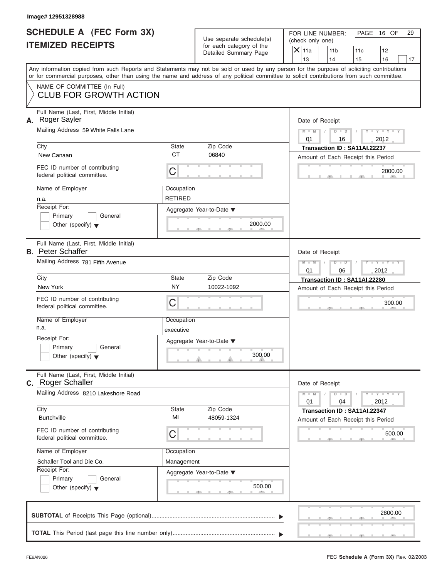| SCHEDULE A (FEC Form 3X) |  |  |
|--------------------------|--|--|
| <b>ITEMIZED RECEIPTS</b> |  |  |

| Image# 12951328988                                                                                                                                                                                                                                                                      |                                                      |                                     |                                                                                                  |                  |
|-----------------------------------------------------------------------------------------------------------------------------------------------------------------------------------------------------------------------------------------------------------------------------------------|------------------------------------------------------|-------------------------------------|--------------------------------------------------------------------------------------------------|------------------|
| SCHEDULE A (FEC Form 3X)<br><b>ITEMIZED RECEIPTS</b>                                                                                                                                                                                                                                    | Use separate schedule(s)<br>for each category of the |                                     |                                                                                                  | PAGE 16 OF<br>29 |
|                                                                                                                                                                                                                                                                                         |                                                      | Detailed Summary Page               | $\mathsf{X}$ 11a<br>11 <sub>b</sub><br>11c<br>12<br>13<br>14<br>15<br>16                         | 17               |
| Any information copied from such Reports and Statements may not be sold or used by any person for the purpose of soliciting contributions<br>or for commercial purposes, other than using the name and address of any political committee to solicit contributions from such committee. |                                                      |                                     |                                                                                                  |                  |
| NAME OF COMMITTEE (In Full)<br><b>CLUB FOR GROWTH ACTION</b>                                                                                                                                                                                                                            |                                                      |                                     |                                                                                                  |                  |
| Full Name (Last, First, Middle Initial)<br>A. Roger Sayler                                                                                                                                                                                                                              |                                                      |                                     | Date of Receipt                                                                                  |                  |
| Mailing Address 59 White Falls Lane                                                                                                                                                                                                                                                     |                                                      |                                     | $Y - Y - Y - Y - Y$<br>$M - M$<br>$D$ $\Box$ $D$<br>$\sqrt{ }$<br>$\sqrt{ }$<br>2012<br>01<br>16 |                  |
| City<br>New Canaan                                                                                                                                                                                                                                                                      | State<br><b>CT</b>                                   | Zip Code<br>06840                   | Transaction ID: SA11AI.22237<br>Amount of Each Receipt this Period                               |                  |
| FEC ID number of contributing<br>federal political committee.                                                                                                                                                                                                                           | C                                                    |                                     |                                                                                                  | 2000.00          |
| Name of Employer<br>n.a.                                                                                                                                                                                                                                                                | Occupation<br><b>RETIRED</b>                         |                                     |                                                                                                  |                  |
| Receipt For:<br>Primary<br>General<br>Other (specify) $\blacktriangledown$                                                                                                                                                                                                              |                                                      | Aggregate Year-to-Date ▼<br>2000.00 |                                                                                                  |                  |
| Full Name (Last, First, Middle Initial)<br><b>B.</b> Peter Schaffer                                                                                                                                                                                                                     |                                                      |                                     | Date of Receipt                                                                                  |                  |
| Mailing Address 781 Fifth Avenue                                                                                                                                                                                                                                                        |                                                      |                                     | Y T Y T Y T<br>$M - M$<br>$D$ $D$<br>2012<br>01<br>06                                            |                  |
| City<br>New York                                                                                                                                                                                                                                                                        | State<br><b>NY</b>                                   | Zip Code<br>10022-1092              | Transaction ID: SA11AI.22280                                                                     |                  |
| FEC ID number of contributing<br>federal political committee.                                                                                                                                                                                                                           | C                                                    |                                     | Amount of Each Receipt this Period                                                               | 300.00           |
| Name of Employer<br>n.a.                                                                                                                                                                                                                                                                | Occupation<br>executive                              |                                     |                                                                                                  |                  |
| Receipt For:<br>Primary<br>General<br>Other (specify) $\blacktriangledown$                                                                                                                                                                                                              |                                                      | Aggregate Year-to-Date ▼<br>300.00  |                                                                                                  |                  |
| Full Name (Last, First, Middle Initial)<br>C. Roger Schaller                                                                                                                                                                                                                            |                                                      |                                     | Date of Receipt                                                                                  |                  |
| Mailing Address 8210 Lakeshore Road                                                                                                                                                                                                                                                     |                                                      |                                     | $Y = Y$<br>$M - M$<br>$\overline{D}$<br>$\Box$<br>2012<br>01<br>04                               |                  |
| City<br><b>Burtchville</b>                                                                                                                                                                                                                                                              | State<br>MI                                          | Zip Code<br>48059-1324              | Transaction ID: SA11AI.22347<br>Amount of Each Receipt this Period                               |                  |
| FEC ID number of contributing<br>federal political committee.                                                                                                                                                                                                                           | С                                                    |                                     |                                                                                                  | 500.00           |
| Name of Employer                                                                                                                                                                                                                                                                        | Occupation                                           |                                     |                                                                                                  |                  |
| Schaller Tool and Die Co.<br>Receipt For:                                                                                                                                                                                                                                               | Management                                           |                                     |                                                                                                  |                  |
| Primary<br>General<br>Other (specify) $\blacktriangledown$                                                                                                                                                                                                                              |                                                      | Aggregate Year-to-Date ▼<br>500.00  |                                                                                                  |                  |
|                                                                                                                                                                                                                                                                                         |                                                      |                                     |                                                                                                  | 2800.00          |
|                                                                                                                                                                                                                                                                                         |                                                      |                                     |                                                                                                  |                  |

S S S , , .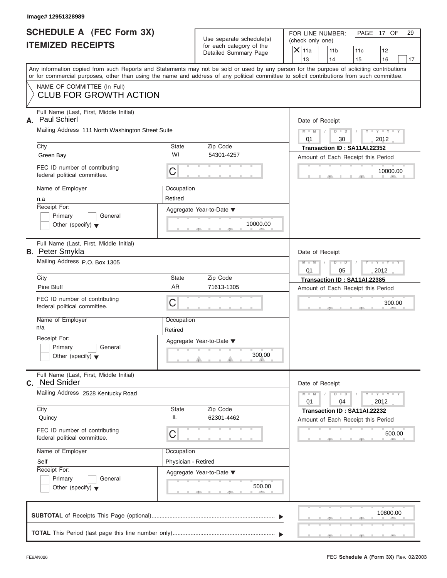|                          | <b>SCHEDULE A (FEC Form 3X)</b> |
|--------------------------|---------------------------------|
| <b>ITEMIZED RECEIPTS</b> |                                 |

|                                                               | Image# 12951328989                                                                                                                                                        |                     |                                                                               |                                                                |                                                          |  |                 |                                    |                             |    |  |  |  |  |  |
|---------------------------------------------------------------|---------------------------------------------------------------------------------------------------------------------------------------------------------------------------|---------------------|-------------------------------------------------------------------------------|----------------------------------------------------------------|----------------------------------------------------------|--|-----------------|------------------------------------|-----------------------------|----|--|--|--|--|--|
| SCHEDULE A (FEC Form 3X)<br><b>ITEMIZED RECEIPTS</b>          |                                                                                                                                                                           |                     | Use separate schedule(s)<br>for each category of the<br>Detailed Summary Page |                                                                | FOR LINE NUMBER:<br>(check only one)<br>$\mathsf{X}$ 11a |  | 11 <sub>b</sub> | 11c                                | PAGE 17 OF<br>12            | 29 |  |  |  |  |  |
|                                                               | Any information copied from such Reports and Statements may not be sold or used by any person for the purpose of soliciting contributions                                 |                     |                                                                               |                                                                | 13                                                       |  | 14              | 15                                 | 16                          | 17 |  |  |  |  |  |
|                                                               | or for commercial purposes, other than using the name and address of any political committee to solicit contributions from such committee.<br>NAME OF COMMITTEE (In Full) |                     |                                                                               |                                                                |                                                          |  |                 |                                    |                             |    |  |  |  |  |  |
|                                                               | <b>CLUB FOR GROWTH ACTION</b>                                                                                                                                             |                     |                                                                               |                                                                |                                                          |  |                 |                                    |                             |    |  |  |  |  |  |
| А.                                                            | Full Name (Last, First, Middle Initial)<br>Paul Schierl                                                                                                                   |                     |                                                                               |                                                                | Date of Receipt                                          |  |                 |                                    |                             |    |  |  |  |  |  |
|                                                               | Mailing Address 111 North Washington Street Suite                                                                                                                         |                     |                                                                               | $Y - Y - Y - Y - Y$<br>$D$ $D$<br>$M - M$<br>0.1<br>2012<br>30 |                                                          |  |                 |                                    |                             |    |  |  |  |  |  |
|                                                               | City                                                                                                                                                                      | State               | Zip Code                                                                      |                                                                | Transaction ID: SA11AI.22352                             |  |                 |                                    |                             |    |  |  |  |  |  |
|                                                               | Green Bay                                                                                                                                                                 | WI                  | 54301-4257                                                                    |                                                                |                                                          |  |                 | Amount of Each Receipt this Period |                             |    |  |  |  |  |  |
|                                                               | FEC ID number of contributing<br>federal political committee.                                                                                                             | C                   |                                                                               |                                                                |                                                          |  |                 |                                    | 10000.00                    |    |  |  |  |  |  |
|                                                               | Name of Employer                                                                                                                                                          | Occupation          |                                                                               |                                                                |                                                          |  |                 |                                    |                             |    |  |  |  |  |  |
|                                                               | n.a                                                                                                                                                                       | Retired             |                                                                               |                                                                |                                                          |  |                 |                                    |                             |    |  |  |  |  |  |
|                                                               | Receipt For:                                                                                                                                                              |                     | Aggregate Year-to-Date ▼                                                      |                                                                |                                                          |  |                 |                                    |                             |    |  |  |  |  |  |
|                                                               | Primary<br>General<br>Other (specify) $\blacktriangledown$                                                                                                                |                     | 10000.00                                                                      |                                                                |                                                          |  |                 |                                    |                             |    |  |  |  |  |  |
|                                                               |                                                                                                                                                                           |                     |                                                                               |                                                                |                                                          |  |                 |                                    |                             |    |  |  |  |  |  |
|                                                               | Full Name (Last, First, Middle Initial)                                                                                                                                   |                     |                                                                               |                                                                |                                                          |  |                 |                                    |                             |    |  |  |  |  |  |
|                                                               | <b>B.</b> Peter Smykla                                                                                                                                                    |                     |                                                                               |                                                                | Date of Receipt                                          |  |                 |                                    |                             |    |  |  |  |  |  |
|                                                               | Mailing Address P.O. Box 1305                                                                                                                                             |                     |                                                                               |                                                                | $M - M$<br>01                                            |  | $D$ $D$<br>05   |                                    | Y T Y T Y T<br>2012         |    |  |  |  |  |  |
|                                                               | City                                                                                                                                                                      | State               | Zip Code                                                                      |                                                                |                                                          |  |                 | Transaction ID: SA11AI.22385       |                             |    |  |  |  |  |  |
|                                                               | Pine Bluff                                                                                                                                                                | <b>AR</b>           | 71613-1305                                                                    |                                                                |                                                          |  |                 | Amount of Each Receipt this Period |                             |    |  |  |  |  |  |
|                                                               | FEC ID number of contributing<br>federal political committee.                                                                                                             | C                   |                                                                               |                                                                |                                                          |  |                 |                                    | 300.00                      |    |  |  |  |  |  |
|                                                               | Name of Employer                                                                                                                                                          | Occupation          |                                                                               |                                                                |                                                          |  |                 |                                    |                             |    |  |  |  |  |  |
|                                                               | n/a                                                                                                                                                                       | Retired             |                                                                               |                                                                |                                                          |  |                 |                                    |                             |    |  |  |  |  |  |
|                                                               | Receipt For:                                                                                                                                                              |                     | Aggregate Year-to-Date ▼                                                      |                                                                |                                                          |  |                 |                                    |                             |    |  |  |  |  |  |
|                                                               | Primary<br>General<br>Other (specify) $\blacktriangledown$                                                                                                                |                     | 300.00                                                                        |                                                                |                                                          |  |                 |                                    |                             |    |  |  |  |  |  |
|                                                               | Full Name (Last, First, Middle Initial)<br>C. Ned Snider                                                                                                                  |                     |                                                                               |                                                                | Date of Receipt                                          |  |                 |                                    |                             |    |  |  |  |  |  |
|                                                               | Mailing Address 2528 Kentucky Road                                                                                                                                        |                     |                                                                               |                                                                | $M - M$<br>01                                            |  | $D - D$<br>04   |                                    | $Y - Y - Y - Y - I$<br>2012 |    |  |  |  |  |  |
| City                                                          |                                                                                                                                                                           | State               | Zip Code                                                                      |                                                                |                                                          |  |                 | Transaction ID: SA11AI.22232       |                             |    |  |  |  |  |  |
|                                                               | Quincy                                                                                                                                                                    | IL                  | 62301-4462                                                                    |                                                                |                                                          |  |                 | Amount of Each Receipt this Period |                             |    |  |  |  |  |  |
| FEC ID number of contributing<br>federal political committee. |                                                                                                                                                                           | C                   |                                                                               |                                                                |                                                          |  |                 | 500.00                             |                             |    |  |  |  |  |  |
|                                                               | Name of Employer                                                                                                                                                          | Occupation          |                                                                               |                                                                |                                                          |  |                 |                                    |                             |    |  |  |  |  |  |
|                                                               | Self                                                                                                                                                                      | Physician - Retired |                                                                               |                                                                |                                                          |  |                 |                                    |                             |    |  |  |  |  |  |
|                                                               | Receipt For:                                                                                                                                                              |                     | Aggregate Year-to-Date ▼                                                      |                                                                |                                                          |  |                 |                                    |                             |    |  |  |  |  |  |
|                                                               | Primary<br>General<br>Other (specify) $\blacktriangledown$                                                                                                                |                     | 500.00                                                                        |                                                                |                                                          |  |                 |                                    |                             |    |  |  |  |  |  |
|                                                               | CURTOTAL of Possints This Page (optional)                                                                                                                                 |                     |                                                                               |                                                                |                                                          |  |                 |                                    | 10800.00                    |    |  |  |  |  |  |

|  |  |  |  |  |  | 10800.00                                                     |
|--|--|--|--|--|--|--------------------------------------------------------------|
|  |  |  |  |  |  |                                                              |
|  |  |  |  |  |  | <u>Union and the most community of the second second and</u> |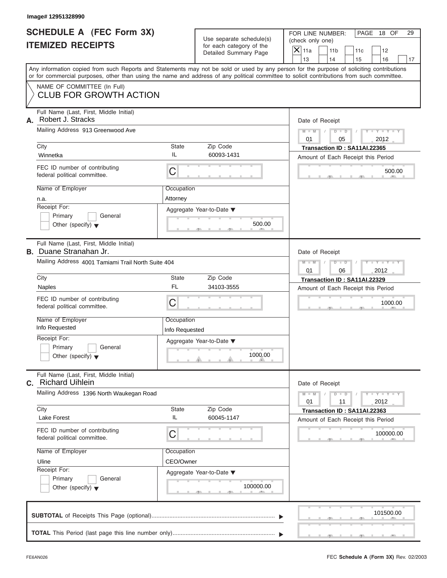|                          | <b>SCHEDULE A (FEC Form 3X)</b> |
|--------------------------|---------------------------------|
| <b>ITEMIZED RECEIPTS</b> |                                 |

| Image# 12951328990                 |                                                                                                                                                                                                                                                                                         |                              |                                                                               |                                                                                         |                                                                    |  |  |  |  |
|------------------------------------|-----------------------------------------------------------------------------------------------------------------------------------------------------------------------------------------------------------------------------------------------------------------------------------------|------------------------------|-------------------------------------------------------------------------------|-----------------------------------------------------------------------------------------|--------------------------------------------------------------------|--|--|--|--|
|                                    | SCHEDULE A (FEC Form 3X)<br><b>ITEMIZED RECEIPTS</b>                                                                                                                                                                                                                                    |                              | Use separate schedule(s)<br>for each category of the<br>Detailed Summary Page | FOR LINE NUMBER:<br>(check only one)<br>$\mathsf{X} _{\mathsf{11a}}$<br>11 <sub>b</sub> | PAGE 18 OF<br>29<br>11c<br>12                                      |  |  |  |  |
|                                    | Any information copied from such Reports and Statements may not be sold or used by any person for the purpose of soliciting contributions<br>or for commercial purposes, other than using the name and address of any political committee to solicit contributions from such committee. |                              |                                                                               | 13<br>14                                                                                | 15<br>16<br>17                                                     |  |  |  |  |
|                                    | NAME OF COMMITTEE (In Full)<br><b>CLUB FOR GROWTH ACTION</b>                                                                                                                                                                                                                            |                              |                                                                               |                                                                                         |                                                                    |  |  |  |  |
| А.                                 | Full Name (Last, First, Middle Initial)<br>Robert J. Stracks                                                                                                                                                                                                                            |                              |                                                                               | Date of Receipt                                                                         |                                                                    |  |  |  |  |
|                                    | Mailing Address 913 Greenwood Ave                                                                                                                                                                                                                                                       |                              |                                                                               | $M - M$<br>01                                                                           | $D$ $D$<br>$Y - Y - Y - Y$<br>05<br>2012                           |  |  |  |  |
| City<br>Winnetka                   |                                                                                                                                                                                                                                                                                         | State<br>IL                  | Zip Code<br>60093-1431                                                        |                                                                                         | Transaction ID: SA11AI.22365<br>Amount of Each Receipt this Period |  |  |  |  |
|                                    | FEC ID number of contributing<br>federal political committee.                                                                                                                                                                                                                           | C                            |                                                                               |                                                                                         | 500.00                                                             |  |  |  |  |
| Name of Employer<br>n.a.           |                                                                                                                                                                                                                                                                                         | Occupation<br>Attorney       |                                                                               |                                                                                         |                                                                    |  |  |  |  |
| Receipt For:<br>Primary            | General<br>Other (specify) $\blacktriangledown$                                                                                                                                                                                                                                         |                              | Aggregate Year-to-Date ▼<br>500.00                                            |                                                                                         |                                                                    |  |  |  |  |
|                                    | Full Name (Last, First, Middle Initial)<br><b>B.</b> Duane Stranahan Jr.                                                                                                                                                                                                                |                              |                                                                               | Date of Receipt                                                                         |                                                                    |  |  |  |  |
|                                    | Mailing Address 4001 Tamiami Trail North Suite 404                                                                                                                                                                                                                                      |                              |                                                                               | $M - M$<br>$D$ $D$<br>01                                                                | Y TYTTYTTY<br>06<br>2012                                           |  |  |  |  |
| City<br><b>Naples</b>              |                                                                                                                                                                                                                                                                                         | <b>State</b><br><b>FL</b>    | Zip Code<br>34103-3555                                                        | Transaction ID: SA11AI.22329<br>Amount of Each Receipt this Period                      |                                                                    |  |  |  |  |
|                                    | FEC ID number of contributing<br>federal political committee.                                                                                                                                                                                                                           | C                            |                                                                               |                                                                                         | 1000.00                                                            |  |  |  |  |
| Name of Employer<br>Info Requested |                                                                                                                                                                                                                                                                                         | Occupation<br>Info Requested |                                                                               |                                                                                         |                                                                    |  |  |  |  |
| Receipt For:<br>Primary            | General<br>Other (specify) $\blacktriangledown$                                                                                                                                                                                                                                         |                              | Aggregate Year-to-Date ▼<br>1000.00                                           |                                                                                         |                                                                    |  |  |  |  |
| C.                                 | Full Name (Last, First, Middle Initial)<br><b>Richard Uihlein</b>                                                                                                                                                                                                                       |                              |                                                                               | Date of Receipt                                                                         |                                                                    |  |  |  |  |
|                                    | Mailing Address 1396 North Waukegan Road                                                                                                                                                                                                                                                |                              |                                                                               | $M - M$<br>01                                                                           | $Y = Y$<br>$D$ $D$<br>2012<br>11                                   |  |  |  |  |
| City<br>Lake Forest                |                                                                                                                                                                                                                                                                                         | State<br>IL                  | Zip Code<br>60045-1147                                                        |                                                                                         | Transaction ID: SA11AI.22363<br>Amount of Each Receipt this Period |  |  |  |  |
|                                    | FEC ID number of contributing<br>federal political committee.                                                                                                                                                                                                                           | C                            |                                                                               |                                                                                         | 100000.00                                                          |  |  |  |  |
| Name of Employer<br>Uline          |                                                                                                                                                                                                                                                                                         | Occupation<br>CEO/Owner      |                                                                               |                                                                                         |                                                                    |  |  |  |  |
| Receipt For:<br>Primary            | General<br>Other (specify) $\blacktriangledown$                                                                                                                                                                                                                                         |                              | Aggregate Year-to-Date ▼<br>100000.00                                         |                                                                                         |                                                                    |  |  |  |  |
|                                    |                                                                                                                                                                                                                                                                                         |                              |                                                                               |                                                                                         | 101500.00                                                          |  |  |  |  |
|                                    |                                                                                                                                                                                                                                                                                         |                              |                                                                               |                                                                                         |                                                                    |  |  |  |  |

FEC **Schedule A (Form 3X)** Rev. 02/2003

S S S , , .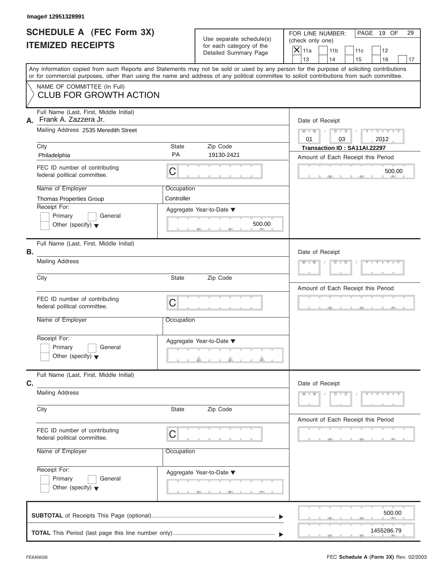| SCHEDULE A (FEC Form 3X) |  |  |
|--------------------------|--|--|
| <b>ITEMIZED RECEIPTS</b> |  |  |

|                                                                       | Image# 12951328991                                                                                                                         |                                                                               |                                    |                                                                                                                                           |
|-----------------------------------------------------------------------|--------------------------------------------------------------------------------------------------------------------------------------------|-------------------------------------------------------------------------------|------------------------------------|-------------------------------------------------------------------------------------------------------------------------------------------|
| <b>SCHEDULE A (FEC Form 3X)</b><br><b>ITEMIZED RECEIPTS</b>           |                                                                                                                                            | Use separate schedule(s)<br>for each category of the<br>Detailed Summary Page |                                    | FOR LINE NUMBER:<br>PAGE 19 OF<br>29<br>(check only one)<br>$\mathsf{X}$ 11a<br>11 <sub>b</sub><br>11c<br>12                              |
|                                                                       |                                                                                                                                            |                                                                               |                                    | 13<br>14<br>16<br>15<br>17                                                                                                                |
|                                                                       | or for commercial purposes, other than using the name and address of any political committee to solicit contributions from such committee. |                                                                               |                                    | Any information copied from such Reports and Statements may not be sold or used by any person for the purpose of soliciting contributions |
|                                                                       | NAME OF COMMITTEE (In Full)<br><b>CLUB FOR GROWTH ACTION</b>                                                                               |                                                                               |                                    |                                                                                                                                           |
| А.                                                                    | Full Name (Last, First, Middle Initial)<br>Frank A. Zazzera Jr.<br>Mailing Address 2535 Meredith Street                                    |                                                                               |                                    | Date of Receipt<br>$Y - Y - Y - Y - Y$<br>$M - M$<br>$D$ $D$<br>01<br>03<br>2012                                                          |
|                                                                       | City                                                                                                                                       | State<br><b>PA</b>                                                            | Zip Code<br>19130-2421             | Transaction ID: SA11AI.22297                                                                                                              |
|                                                                       | Philadelphia<br>FEC ID number of contributing<br>federal political committee.                                                              | $\mathsf C$                                                                   |                                    | Amount of Each Receipt this Period<br>500.00                                                                                              |
|                                                                       | Name of Employer<br>Thomas Properties Group<br>Receipt For:                                                                                | Occupation<br>Controller                                                      |                                    |                                                                                                                                           |
|                                                                       | Primary<br>General<br>Other (specify) $\blacktriangledown$                                                                                 |                                                                               | Aggregate Year-to-Date ▼<br>500.00 |                                                                                                                                           |
| В.                                                                    | Full Name (Last, First, Middle Initial)                                                                                                    |                                                                               |                                    | Date of Receipt                                                                                                                           |
| <b>Mailing Address</b>                                                |                                                                                                                                            |                                                                               |                                    | $Y = Y = Y' + Y' + Y$<br>$D$ $D$<br>$M - M$                                                                                               |
| City                                                                  |                                                                                                                                            | <b>State</b>                                                                  | Zip Code                           | Amount of Each Receipt this Period                                                                                                        |
|                                                                       | FEC ID number of contributing<br>federal political committee.                                                                              | C                                                                             |                                    | <b>J</b>                                                                                                                                  |
|                                                                       | Name of Employer                                                                                                                           | Occupation                                                                    |                                    |                                                                                                                                           |
|                                                                       | Receipt For:<br>Primary<br>General<br>Other (specify) $\blacktriangledown$                                                                 |                                                                               | Aggregate Year-to-Date ▼           |                                                                                                                                           |
| C.                                                                    | Full Name (Last, First, Middle Initial)                                                                                                    |                                                                               |                                    | Date of Receipt                                                                                                                           |
|                                                                       | <b>Mailing Address</b>                                                                                                                     |                                                                               |                                    | $Y - Y - Y - Y - Y$<br>$M - M$<br>$D - D$                                                                                                 |
| City<br>FEC ID number of contributing<br>federal political committee. |                                                                                                                                            | State                                                                         | Zip Code                           | Amount of Each Receipt this Period                                                                                                        |
|                                                                       |                                                                                                                                            | C                                                                             |                                    |                                                                                                                                           |
|                                                                       | Name of Employer                                                                                                                           | Occupation                                                                    |                                    |                                                                                                                                           |
|                                                                       | Receipt For:<br>Primary<br>General<br>Other (specify) $\blacktriangledown$                                                                 |                                                                               | Aggregate Year-to-Date ▼<br>AU.    |                                                                                                                                           |
|                                                                       |                                                                                                                                            |                                                                               |                                    | 500.00                                                                                                                                    |
|                                                                       |                                                                                                                                            |                                                                               |                                    | 1455286.79                                                                                                                                |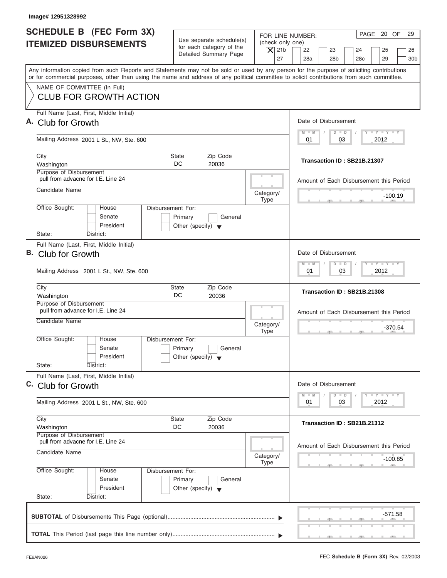| Image# 12951328992                                                                                                                                                                                                                                                                                                     |                                                                                                                               |                                                                                                                                          |
|------------------------------------------------------------------------------------------------------------------------------------------------------------------------------------------------------------------------------------------------------------------------------------------------------------------------|-------------------------------------------------------------------------------------------------------------------------------|------------------------------------------------------------------------------------------------------------------------------------------|
| SCHEDULE B (FEC Form 3X)<br><b>ITEMIZED DISBURSEMENTS</b>                                                                                                                                                                                                                                                              | Use separate schedule(s)<br>(check only one)<br>for each category of the<br>$\overline{X}$ 21b<br>Detailed Summary Page<br>27 | PAGE 20 OF<br>29<br>FOR LINE NUMBER:<br>22<br>23<br>24<br>25<br>26<br>28a<br>28 <sub>b</sub><br>28 <sub>c</sub><br>29<br>30 <sub>b</sub> |
| Any information copied from such Reports and Statements may not be sold or used by any person for the purpose of soliciting contributions<br>or for commercial purposes, other than using the name and address of any political committee to solicit contributions from such committee.<br>NAME OF COMMITTEE (In Full) |                                                                                                                               |                                                                                                                                          |
| <b>CLUB FOR GROWTH ACTION</b>                                                                                                                                                                                                                                                                                          |                                                                                                                               |                                                                                                                                          |
| Full Name (Last, First, Middle Initial)<br>A. Club for Growth                                                                                                                                                                                                                                                          |                                                                                                                               | Date of Disbursement                                                                                                                     |
| Mailing Address 2001 L St., NW, Ste. 600                                                                                                                                                                                                                                                                               |                                                                                                                               | $T - Y = T - Y = T - Y$<br>$D$ $D$<br>$M - M$<br>03<br>2012<br>01                                                                        |
| City<br>Washington                                                                                                                                                                                                                                                                                                     | Zip Code<br><b>State</b><br>DC<br>20036                                                                                       | Transaction ID: SB21B.21307                                                                                                              |
| Purpose of Disbursement<br>pull from advacne for I.E. Line 24<br>Candidate Name                                                                                                                                                                                                                                        |                                                                                                                               | Amount of Each Disbursement this Period                                                                                                  |
| Office Sought:<br>House                                                                                                                                                                                                                                                                                                | Category/<br><b>Type</b><br>Disbursement For:                                                                                 | $-100.19$                                                                                                                                |
| Senate<br>President<br>State:<br>District:                                                                                                                                                                                                                                                                             | Primary<br>General<br>Other (specify) $\blacktriangledown$                                                                    |                                                                                                                                          |
| Full Name (Last, First, Middle Initial)<br>B. Club for Growth                                                                                                                                                                                                                                                          |                                                                                                                               | Date of Disbursement<br><b>LY LY LY</b><br>$M - M$<br>$\Box$<br>$\Box$                                                                   |
| Mailing Address 2001 L St., NW, Ste. 600                                                                                                                                                                                                                                                                               |                                                                                                                               | 03<br>2012<br>01                                                                                                                         |
| City<br>Washington                                                                                                                                                                                                                                                                                                     | Zip Code<br><b>State</b><br>DC<br>20036                                                                                       | Transaction ID: SB21B.21308                                                                                                              |
| Purpose of Disbursement<br>pull from advance for I.E. Line 24<br>Candidate Name                                                                                                                                                                                                                                        | Category/<br><b>Type</b>                                                                                                      | Amount of Each Disbursement this Period<br>$-370.54$<br>$\sim$                                                                           |
| Office Sought:<br>House<br>Senate<br>President                                                                                                                                                                                                                                                                         | Disbursement For:<br>Primary<br>General<br>Other (specify) $\blacktriangledown$                                               |                                                                                                                                          |
| State:<br>District:<br>Full Name (Last, First, Middle Initial)<br>C. Club for Growth                                                                                                                                                                                                                                   |                                                                                                                               | Date of Disbursement                                                                                                                     |
| Mailing Address 2001 L St., NW, Ste. 600                                                                                                                                                                                                                                                                               |                                                                                                                               | $T - Y = Y - T Y$<br>$M - M$<br>$\overline{D}$<br>$\Box$<br>2012<br>01<br>03                                                             |
| City<br>Washington<br>Purpose of Disbursement                                                                                                                                                                                                                                                                          | Zip Code<br><b>State</b><br>DC<br>20036                                                                                       | Transaction ID: SB21B.21312                                                                                                              |
| pull from advacne for I.E. Line 24<br>Candidate Name                                                                                                                                                                                                                                                                   | Category/<br><b>Type</b>                                                                                                      | Amount of Each Disbursement this Period<br>$-100.85$                                                                                     |
| Office Sought:<br>House<br>Senate<br>President<br>State:<br>District:                                                                                                                                                                                                                                                  | Disbursement For:<br>Primary<br>General<br>Other (specify) $\blacktriangledown$                                               |                                                                                                                                          |
|                                                                                                                                                                                                                                                                                                                        |                                                                                                                               | -571.58                                                                                                                                  |
|                                                                                                                                                                                                                                                                                                                        |                                                                                                                               |                                                                                                                                          |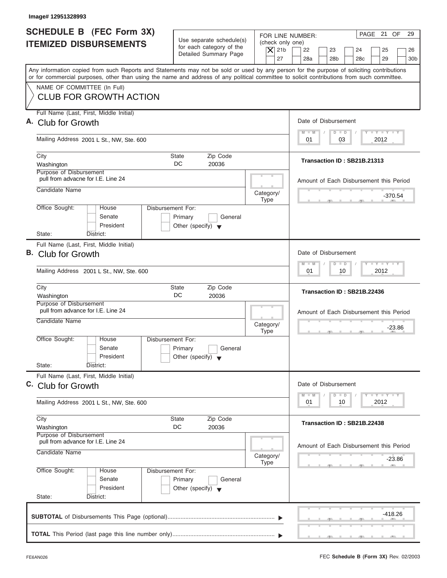| Image# 12951328993                                                                                                                                                                                                                                                                                                     |                                                                                                                               |                                                                                                                                          |
|------------------------------------------------------------------------------------------------------------------------------------------------------------------------------------------------------------------------------------------------------------------------------------------------------------------------|-------------------------------------------------------------------------------------------------------------------------------|------------------------------------------------------------------------------------------------------------------------------------------|
| <b>SCHEDULE B</b> (FEC Form 3X)<br><b>ITEMIZED DISBURSEMENTS</b>                                                                                                                                                                                                                                                       | Use separate schedule(s)<br>(check only one)<br>for each category of the<br>$\overline{X}$ 21b<br>Detailed Summary Page<br>27 | PAGE 21 OF<br>29<br>FOR LINE NUMBER:<br>22<br>23<br>24<br>25<br>26<br>28a<br>28 <sub>b</sub><br>28 <sub>c</sub><br>29<br>30 <sub>b</sub> |
| Any information copied from such Reports and Statements may not be sold or used by any person for the purpose of soliciting contributions<br>or for commercial purposes, other than using the name and address of any political committee to solicit contributions from such committee.<br>NAME OF COMMITTEE (In Full) |                                                                                                                               |                                                                                                                                          |
| <b>CLUB FOR GROWTH ACTION</b>                                                                                                                                                                                                                                                                                          |                                                                                                                               |                                                                                                                                          |
| Full Name (Last, First, Middle Initial)<br>A. Club for Growth                                                                                                                                                                                                                                                          |                                                                                                                               | Date of Disbursement                                                                                                                     |
| Mailing Address 2001 L St., NW, Ste. 600                                                                                                                                                                                                                                                                               |                                                                                                                               | $T - Y = T - Y = T - Y$<br>$D$ $D$<br>$M - M$<br>03<br>2012<br>01                                                                        |
| City<br>Washington<br>Purpose of Disbursement                                                                                                                                                                                                                                                                          | Zip Code<br><b>State</b><br>DC<br>20036                                                                                       | Transaction ID: SB21B.21313                                                                                                              |
| pull from advacne for I.E. Line 24<br>Candidate Name                                                                                                                                                                                                                                                                   | Category/                                                                                                                     | Amount of Each Disbursement this Period                                                                                                  |
| Office Sought:<br>House<br>Senate                                                                                                                                                                                                                                                                                      | <b>Type</b><br>Disbursement For:<br>Primary<br>General                                                                        | $-370.54$                                                                                                                                |
| President<br>State:<br>District:<br>Full Name (Last, First, Middle Initial)                                                                                                                                                                                                                                            | Other (specify) $\blacktriangledown$                                                                                          |                                                                                                                                          |
| B. Club for Growth                                                                                                                                                                                                                                                                                                     |                                                                                                                               | Date of Disbursement<br><b>LY LY LY</b><br>$M - M$<br>$\overline{D}$<br>$\Box$                                                           |
| Mailing Address 2001 L St., NW, Ste. 600<br>City                                                                                                                                                                                                                                                                       | Zip Code<br><b>State</b>                                                                                                      | 2012<br>01<br>10                                                                                                                         |
| Washington<br>Purpose of Disbursement                                                                                                                                                                                                                                                                                  | DC<br>20036                                                                                                                   | Transaction ID: SB21B.22436                                                                                                              |
| pull from advance for I.E. Line 24<br>Candidate Name                                                                                                                                                                                                                                                                   | Category/<br><b>Type</b>                                                                                                      | Amount of Each Disbursement this Period<br>$-23.86$<br>$-5$                                                                              |
| Office Sought:<br>House<br>Senate<br>President                                                                                                                                                                                                                                                                         | Disbursement For:<br>Primary<br>General<br>Other (specify) $\blacktriangledown$                                               |                                                                                                                                          |
| State:<br>District:<br>Full Name (Last, First, Middle Initial)<br>C. Club for Growth                                                                                                                                                                                                                                   |                                                                                                                               | Date of Disbursement                                                                                                                     |
| Mailing Address 2001 L St., NW, Ste. 600                                                                                                                                                                                                                                                                               |                                                                                                                               | $T - Y = Y - T Y$<br>$M - M$<br>$\overline{D}$<br>$\Box$<br>2012<br>01<br>10                                                             |
| City<br>Washington<br>Purpose of Disbursement                                                                                                                                                                                                                                                                          | Zip Code<br><b>State</b><br>DC<br>20036                                                                                       | Transaction ID: SB21B.22438                                                                                                              |
| pull from advance for I.E. Line 24<br>Candidate Name                                                                                                                                                                                                                                                                   | Category/<br><b>Type</b>                                                                                                      | Amount of Each Disbursement this Period<br>-23.86                                                                                        |
| Office Sought:<br>House<br>Senate<br>President<br>State:<br>District:                                                                                                                                                                                                                                                  | Disbursement For:<br>Primary<br>General<br>Other (specify) $\blacktriangledown$                                               |                                                                                                                                          |
|                                                                                                                                                                                                                                                                                                                        |                                                                                                                               | -418.26                                                                                                                                  |
|                                                                                                                                                                                                                                                                                                                        |                                                                                                                               |                                                                                                                                          |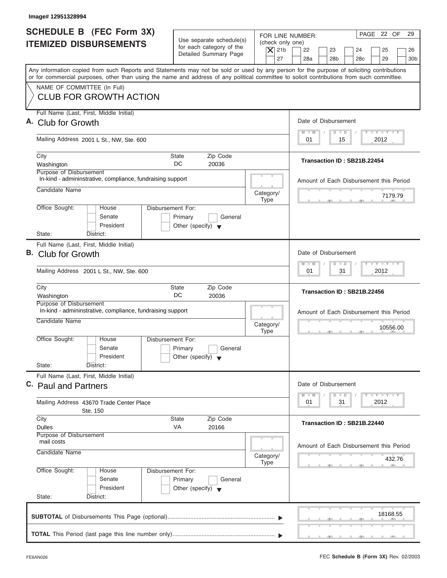| <b>SCHEDULE B (FEC Form 3X)</b><br>Use separate schedule(s)<br><b>ITEMIZED DISBURSEMENTS</b><br>for each category of the<br>Detailed Summary Page<br>Any information copied from such Reports and Statements may not be sold or used by any person for the purpose of soliciting contributions<br>or for commercial purposes, other than using the name and address of any political committee to solicit contributions from such committee.<br>NAME OF COMMITTEE (In Full)<br><b>CLUB FOR GROWTH ACTION</b><br>Full Name (Last, First, Middle Initial)<br>Mailing Address 2001 L St., NW, Ste. 600<br>Zip Code<br>City<br><b>State</b><br>DC.<br>Washington<br>20036<br>Purpose of Disbursement<br>In-kind - admininstrative, compliance, fundraising support<br>Candidate Name<br>Office Sought:<br><b>Disbursement For:</b><br>House<br>Senate<br>Primary<br>General<br>President<br>Other (specify) $\blacktriangledown$<br>State:<br>District:<br>Full Name (Last, First, Middle Initial)<br>Club for Growth<br>Mailing Address 2001 L St., NW, Ste. 600<br>Zip Code<br>City<br>State<br>DC<br>20036<br>Washington<br>Purpose of Disbursement<br>In-kind - admininstrative, compliance, fundraising support<br>Candidate Name<br>Office Sought:<br>House<br>Disbursement For:<br>Senate<br>Primary<br>General<br>President<br>Other (specify) $\blacktriangledown$<br>State:<br>District: | (check only one)<br>$\vert$ $\chi$ 21b<br>27<br>Category/<br><b>Type</b> | PAGE 22 OF<br>29<br>FOR LINE NUMBER:<br>22<br>23<br>24<br>25<br>26<br>28a<br>28 <sub>b</sub><br>28 <sub>c</sub><br>29<br>30 <sub>b</sub><br>Date of Disbursement<br>$I - Y - I - Y - I - Y$<br>$M - M$<br>$\Box$<br>D<br>2012<br>01<br>15<br>Transaction ID: SB21B.22454<br>Amount of Each Disbursement this Period<br>7179.79<br>Date of Disbursement<br>$-1$ $-1$ $-1$ $-1$ $-1$<br>$\Box$<br>$M - M$<br>$\overline{D}$<br>2012<br>01<br>31 |
|------------------------------------------------------------------------------------------------------------------------------------------------------------------------------------------------------------------------------------------------------------------------------------------------------------------------------------------------------------------------------------------------------------------------------------------------------------------------------------------------------------------------------------------------------------------------------------------------------------------------------------------------------------------------------------------------------------------------------------------------------------------------------------------------------------------------------------------------------------------------------------------------------------------------------------------------------------------------------------------------------------------------------------------------------------------------------------------------------------------------------------------------------------------------------------------------------------------------------------------------------------------------------------------------------------------------------------------------------------------------------------------------|--------------------------------------------------------------------------|-----------------------------------------------------------------------------------------------------------------------------------------------------------------------------------------------------------------------------------------------------------------------------------------------------------------------------------------------------------------------------------------------------------------------------------------------|
| A. Club for Growth<br>В.                                                                                                                                                                                                                                                                                                                                                                                                                                                                                                                                                                                                                                                                                                                                                                                                                                                                                                                                                                                                                                                                                                                                                                                                                                                                                                                                                                       |                                                                          |                                                                                                                                                                                                                                                                                                                                                                                                                                               |
|                                                                                                                                                                                                                                                                                                                                                                                                                                                                                                                                                                                                                                                                                                                                                                                                                                                                                                                                                                                                                                                                                                                                                                                                                                                                                                                                                                                                |                                                                          |                                                                                                                                                                                                                                                                                                                                                                                                                                               |
|                                                                                                                                                                                                                                                                                                                                                                                                                                                                                                                                                                                                                                                                                                                                                                                                                                                                                                                                                                                                                                                                                                                                                                                                                                                                                                                                                                                                |                                                                          |                                                                                                                                                                                                                                                                                                                                                                                                                                               |
|                                                                                                                                                                                                                                                                                                                                                                                                                                                                                                                                                                                                                                                                                                                                                                                                                                                                                                                                                                                                                                                                                                                                                                                                                                                                                                                                                                                                |                                                                          |                                                                                                                                                                                                                                                                                                                                                                                                                                               |
|                                                                                                                                                                                                                                                                                                                                                                                                                                                                                                                                                                                                                                                                                                                                                                                                                                                                                                                                                                                                                                                                                                                                                                                                                                                                                                                                                                                                |                                                                          |                                                                                                                                                                                                                                                                                                                                                                                                                                               |
|                                                                                                                                                                                                                                                                                                                                                                                                                                                                                                                                                                                                                                                                                                                                                                                                                                                                                                                                                                                                                                                                                                                                                                                                                                                                                                                                                                                                |                                                                          |                                                                                                                                                                                                                                                                                                                                                                                                                                               |
|                                                                                                                                                                                                                                                                                                                                                                                                                                                                                                                                                                                                                                                                                                                                                                                                                                                                                                                                                                                                                                                                                                                                                                                                                                                                                                                                                                                                |                                                                          |                                                                                                                                                                                                                                                                                                                                                                                                                                               |
|                                                                                                                                                                                                                                                                                                                                                                                                                                                                                                                                                                                                                                                                                                                                                                                                                                                                                                                                                                                                                                                                                                                                                                                                                                                                                                                                                                                                |                                                                          |                                                                                                                                                                                                                                                                                                                                                                                                                                               |
|                                                                                                                                                                                                                                                                                                                                                                                                                                                                                                                                                                                                                                                                                                                                                                                                                                                                                                                                                                                                                                                                                                                                                                                                                                                                                                                                                                                                |                                                                          |                                                                                                                                                                                                                                                                                                                                                                                                                                               |
|                                                                                                                                                                                                                                                                                                                                                                                                                                                                                                                                                                                                                                                                                                                                                                                                                                                                                                                                                                                                                                                                                                                                                                                                                                                                                                                                                                                                |                                                                          |                                                                                                                                                                                                                                                                                                                                                                                                                                               |
|                                                                                                                                                                                                                                                                                                                                                                                                                                                                                                                                                                                                                                                                                                                                                                                                                                                                                                                                                                                                                                                                                                                                                                                                                                                                                                                                                                                                |                                                                          |                                                                                                                                                                                                                                                                                                                                                                                                                                               |
|                                                                                                                                                                                                                                                                                                                                                                                                                                                                                                                                                                                                                                                                                                                                                                                                                                                                                                                                                                                                                                                                                                                                                                                                                                                                                                                                                                                                |                                                                          |                                                                                                                                                                                                                                                                                                                                                                                                                                               |
|                                                                                                                                                                                                                                                                                                                                                                                                                                                                                                                                                                                                                                                                                                                                                                                                                                                                                                                                                                                                                                                                                                                                                                                                                                                                                                                                                                                                |                                                                          |                                                                                                                                                                                                                                                                                                                                                                                                                                               |
|                                                                                                                                                                                                                                                                                                                                                                                                                                                                                                                                                                                                                                                                                                                                                                                                                                                                                                                                                                                                                                                                                                                                                                                                                                                                                                                                                                                                |                                                                          | Transaction ID: SB21B.22456                                                                                                                                                                                                                                                                                                                                                                                                                   |
|                                                                                                                                                                                                                                                                                                                                                                                                                                                                                                                                                                                                                                                                                                                                                                                                                                                                                                                                                                                                                                                                                                                                                                                                                                                                                                                                                                                                | Category/<br><b>Type</b>                                                 | Amount of Each Disbursement this Period<br>10556.00<br>$-7$                                                                                                                                                                                                                                                                                                                                                                                   |
|                                                                                                                                                                                                                                                                                                                                                                                                                                                                                                                                                                                                                                                                                                                                                                                                                                                                                                                                                                                                                                                                                                                                                                                                                                                                                                                                                                                                |                                                                          |                                                                                                                                                                                                                                                                                                                                                                                                                                               |
| Full Name (Last, First, Middle Initial)<br>C. Paul and Partners                                                                                                                                                                                                                                                                                                                                                                                                                                                                                                                                                                                                                                                                                                                                                                                                                                                                                                                                                                                                                                                                                                                                                                                                                                                                                                                                |                                                                          | Date of Disbursement                                                                                                                                                                                                                                                                                                                                                                                                                          |
| Mailing Address 43670 Trade Center Place<br>Ste. 150                                                                                                                                                                                                                                                                                                                                                                                                                                                                                                                                                                                                                                                                                                                                                                                                                                                                                                                                                                                                                                                                                                                                                                                                                                                                                                                                           |                                                                          | $\mathbf{I}$ $\mathbf{Y}$ $\mathbf{I}$ $\mathbf{Y}$ $\mathbf{I}$ $\mathbf{Y}$<br>$M - M$<br>D<br>$\Box$<br>2012<br>01<br>31                                                                                                                                                                                                                                                                                                                   |
| Zip Code<br>City<br>State                                                                                                                                                                                                                                                                                                                                                                                                                                                                                                                                                                                                                                                                                                                                                                                                                                                                                                                                                                                                                                                                                                                                                                                                                                                                                                                                                                      |                                                                          | Transaction ID: SB21B.22440                                                                                                                                                                                                                                                                                                                                                                                                                   |
| VA<br>20166<br><b>Dulles</b><br><b>Purpose of Disbursement</b>                                                                                                                                                                                                                                                                                                                                                                                                                                                                                                                                                                                                                                                                                                                                                                                                                                                                                                                                                                                                                                                                                                                                                                                                                                                                                                                                 |                                                                          |                                                                                                                                                                                                                                                                                                                                                                                                                                               |
| mail costs<br>Candidate Name                                                                                                                                                                                                                                                                                                                                                                                                                                                                                                                                                                                                                                                                                                                                                                                                                                                                                                                                                                                                                                                                                                                                                                                                                                                                                                                                                                   | Category/                                                                | Amount of Each Disbursement this Period                                                                                                                                                                                                                                                                                                                                                                                                       |
|                                                                                                                                                                                                                                                                                                                                                                                                                                                                                                                                                                                                                                                                                                                                                                                                                                                                                                                                                                                                                                                                                                                                                                                                                                                                                                                                                                                                | <b>Type</b>                                                              | 432.76                                                                                                                                                                                                                                                                                                                                                                                                                                        |
| Office Sought:<br>Disbursement For:<br>House<br>Senate<br>Primary<br>General<br>President<br>Other (specify) $\blacktriangledown$<br>State:<br>District:                                                                                                                                                                                                                                                                                                                                                                                                                                                                                                                                                                                                                                                                                                                                                                                                                                                                                                                                                                                                                                                                                                                                                                                                                                       |                                                                          |                                                                                                                                                                                                                                                                                                                                                                                                                                               |
|                                                                                                                                                                                                                                                                                                                                                                                                                                                                                                                                                                                                                                                                                                                                                                                                                                                                                                                                                                                                                                                                                                                                                                                                                                                                                                                                                                                                |                                                                          | 18168.55                                                                                                                                                                                                                                                                                                                                                                                                                                      |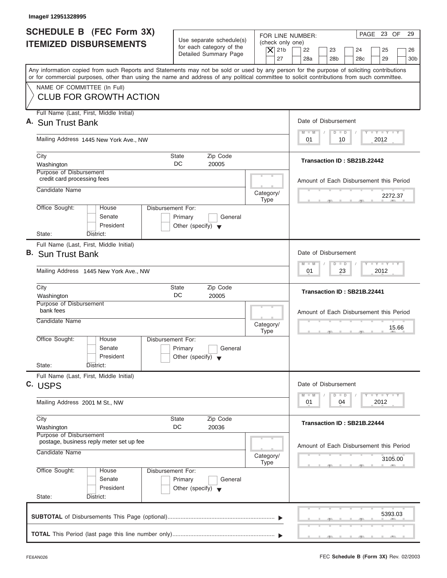|                                                                  | Image# 12951328995                                                                                                                                                                                                                                                                      |                                                            |  |                                                |                                                                       |                 |  |  |  |
|------------------------------------------------------------------|-----------------------------------------------------------------------------------------------------------------------------------------------------------------------------------------------------------------------------------------------------------------------------------------|------------------------------------------------------------|--|------------------------------------------------|-----------------------------------------------------------------------|-----------------|--|--|--|
| <b>SCHEDULE B</b> (FEC Form 3X)<br><b>ITEMIZED DISBURSEMENTS</b> |                                                                                                                                                                                                                                                                                         | Use separate schedule(s)<br>for each category of the       |  | (check only one)<br>$ \mathsf{X} $ 21b         | PAGE 23 OF<br>FOR LINE NUMBER:<br>22<br>23<br>24<br>25                | 29<br>26        |  |  |  |
|                                                                  |                                                                                                                                                                                                                                                                                         | Detailed Summary Page                                      |  | 27                                             | 28a<br>28 <sub>b</sub><br>28 <sub>c</sub><br>29                       | 30 <sub>b</sub> |  |  |  |
|                                                                  | Any information copied from such Reports and Statements may not be sold or used by any person for the purpose of soliciting contributions<br>or for commercial purposes, other than using the name and address of any political committee to solicit contributions from such committee. |                                                            |  |                                                |                                                                       |                 |  |  |  |
|                                                                  | NAME OF COMMITTEE (In Full)                                                                                                                                                                                                                                                             |                                                            |  |                                                |                                                                       |                 |  |  |  |
|                                                                  | <b>CLUB FOR GROWTH ACTION</b>                                                                                                                                                                                                                                                           |                                                            |  |                                                |                                                                       |                 |  |  |  |
|                                                                  | Full Name (Last, First, Middle Initial)                                                                                                                                                                                                                                                 |                                                            |  |                                                | Date of Disbursement                                                  |                 |  |  |  |
|                                                                  | A. Sun Trust Bank                                                                                                                                                                                                                                                                       | <b>LY LY LY</b><br>$M - M$<br>$D$ $D$                      |  |                                                |                                                                       |                 |  |  |  |
|                                                                  | Mailing Address 1445 New York Ave., NW                                                                                                                                                                                                                                                  |                                                            |  |                                                | 2012<br>01<br>10                                                      |                 |  |  |  |
|                                                                  | City                                                                                                                                                                                                                                                                                    | <b>State</b><br>Zip Code                                   |  |                                                | Transaction ID: SB21B.22442                                           |                 |  |  |  |
|                                                                  | Washington<br>Purpose of Disbursement                                                                                                                                                                                                                                                   | DC.<br>20005                                               |  |                                                |                                                                       |                 |  |  |  |
|                                                                  | credit card processing fees                                                                                                                                                                                                                                                             |                                                            |  |                                                | Amount of Each Disbursement this Period                               |                 |  |  |  |
|                                                                  | Candidate Name                                                                                                                                                                                                                                                                          |                                                            |  | Category/                                      | 2272.37                                                               |                 |  |  |  |
|                                                                  | Office Sought:<br>House                                                                                                                                                                                                                                                                 | Disbursement For:                                          |  | <b>Type</b>                                    |                                                                       |                 |  |  |  |
|                                                                  | Senate                                                                                                                                                                                                                                                                                  | Primary<br>General                                         |  |                                                |                                                                       |                 |  |  |  |
|                                                                  | President                                                                                                                                                                                                                                                                               | Other (specify) $\blacktriangledown$                       |  |                                                |                                                                       |                 |  |  |  |
|                                                                  | State:<br>District:<br>Full Name (Last, First, Middle Initial)                                                                                                                                                                                                                          |                                                            |  |                                                |                                                                       |                 |  |  |  |
|                                                                  | B. Sun Trust Bank                                                                                                                                                                                                                                                                       |                                                            |  |                                                | Date of Disbursement                                                  |                 |  |  |  |
|                                                                  |                                                                                                                                                                                                                                                                                         |                                                            |  | $-1 - Y - 1 - Y - 1 - Y$<br>$M - M$<br>$D$ $D$ |                                                                       |                 |  |  |  |
|                                                                  | Mailing Address 1445 New York Ave., NW                                                                                                                                                                                                                                                  |                                                            |  |                                                | 2012<br>01<br>23                                                      |                 |  |  |  |
|                                                                  | City                                                                                                                                                                                                                                                                                    | Zip Code<br><b>State</b><br>DC<br>20005                    |  |                                                | Transaction ID: SB21B.22441                                           |                 |  |  |  |
|                                                                  | Washington<br>Purpose of Disbursement                                                                                                                                                                                                                                                   |                                                            |  |                                                |                                                                       |                 |  |  |  |
|                                                                  | bank fees                                                                                                                                                                                                                                                                               |                                                            |  |                                                | Amount of Each Disbursement this Period                               |                 |  |  |  |
|                                                                  | Candidate Name                                                                                                                                                                                                                                                                          |                                                            |  | Category/<br><b>Type</b>                       |                                                                       | 15.66           |  |  |  |
|                                                                  | Office Sought:<br>House                                                                                                                                                                                                                                                                 | Disbursement For:                                          |  |                                                | $-5$                                                                  |                 |  |  |  |
|                                                                  | Senate                                                                                                                                                                                                                                                                                  | Primary<br>General                                         |  |                                                |                                                                       |                 |  |  |  |
|                                                                  | President<br>State:<br>District:                                                                                                                                                                                                                                                        | Other (specify) $\blacktriangledown$                       |  |                                                |                                                                       |                 |  |  |  |
|                                                                  | Full Name (Last, First, Middle Initial)                                                                                                                                                                                                                                                 |                                                            |  |                                                |                                                                       |                 |  |  |  |
|                                                                  | C. USPS                                                                                                                                                                                                                                                                                 |                                                            |  |                                                | Date of Disbursement                                                  |                 |  |  |  |
|                                                                  | Mailing Address 2001 M St., NW                                                                                                                                                                                                                                                          |                                                            |  |                                                | $T - Y - T - Y - T - Y$<br>$M - M$<br>D<br>$\Box$<br>2012<br>01<br>04 |                 |  |  |  |
|                                                                  |                                                                                                                                                                                                                                                                                         |                                                            |  |                                                |                                                                       |                 |  |  |  |
|                                                                  | City<br>Washington                                                                                                                                                                                                                                                                      | Zip Code<br><b>State</b><br>DC<br>20036                    |  |                                                | Transaction ID: SB21B.22444                                           |                 |  |  |  |
|                                                                  | Purpose of Disbursement                                                                                                                                                                                                                                                                 |                                                            |  |                                                |                                                                       |                 |  |  |  |
|                                                                  | postage, business reply meter set up fee<br>Candidate Name                                                                                                                                                                                                                              |                                                            |  |                                                | Amount of Each Disbursement this Period                               |                 |  |  |  |
|                                                                  |                                                                                                                                                                                                                                                                                         |                                                            |  | Category/<br><b>Type</b>                       | 3105.00                                                               |                 |  |  |  |
|                                                                  | Office Sought:<br>House                                                                                                                                                                                                                                                                 | Disbursement For:                                          |  |                                                |                                                                       |                 |  |  |  |
|                                                                  | Senate<br>President                                                                                                                                                                                                                                                                     | Primary<br>General<br>Other (specify) $\blacktriangledown$ |  |                                                |                                                                       |                 |  |  |  |
|                                                                  | State:<br>District:                                                                                                                                                                                                                                                                     |                                                            |  |                                                |                                                                       |                 |  |  |  |
|                                                                  |                                                                                                                                                                                                                                                                                         |                                                            |  |                                                |                                                                       |                 |  |  |  |
|                                                                  |                                                                                                                                                                                                                                                                                         |                                                            |  |                                                | 5393.03                                                               |                 |  |  |  |
|                                                                  |                                                                                                                                                                                                                                                                                         |                                                            |  |                                                |                                                                       |                 |  |  |  |
|                                                                  |                                                                                                                                                                                                                                                                                         |                                                            |  |                                                |                                                                       |                 |  |  |  |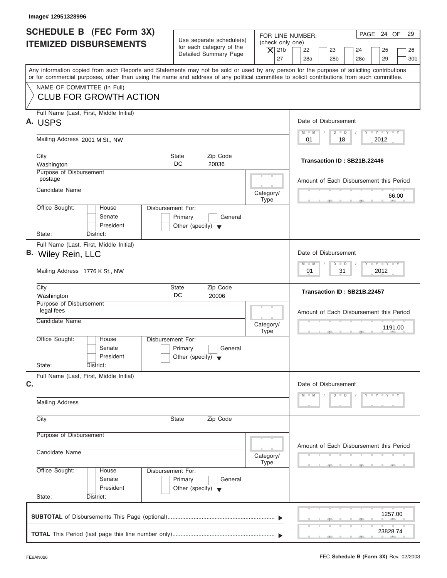| Image# 12951328996                                                                                                                                                                                                                                                                      |                                                                                           |                                                                                                                                                                                          |  |  |
|-----------------------------------------------------------------------------------------------------------------------------------------------------------------------------------------------------------------------------------------------------------------------------------------|-------------------------------------------------------------------------------------------|------------------------------------------------------------------------------------------------------------------------------------------------------------------------------------------|--|--|
| SCHEDULE B (FEC Form 3X)<br><b>ITEMIZED DISBURSEMENTS</b>                                                                                                                                                                                                                               | Use separate schedule(s)<br>for each category of the<br>Detailed Summary Page             | PAGE 24 OF<br>29<br>FOR LINE NUMBER:<br>(check only one)<br>$\overline{X}$ 21b<br>22<br>23<br>24<br>25<br>26<br>27<br>28a<br>28 <sub>b</sub><br>28 <sub>c</sub><br>29<br>30 <sub>b</sub> |  |  |
| Any information copied from such Reports and Statements may not be sold or used by any person for the purpose of soliciting contributions<br>or for commercial purposes, other than using the name and address of any political committee to solicit contributions from such committee. |                                                                                           |                                                                                                                                                                                          |  |  |
| NAME OF COMMITTEE (In Full)<br><b>CLUB FOR GROWTH ACTION</b>                                                                                                                                                                                                                            |                                                                                           |                                                                                                                                                                                          |  |  |
| Full Name (Last, First, Middle Initial)<br>A. USPS                                                                                                                                                                                                                                      |                                                                                           | Date of Disbursement                                                                                                                                                                     |  |  |
| Mailing Address 2001 M St., NW                                                                                                                                                                                                                                                          |                                                                                           | $T - Y = T - Y = T - Y$<br>$D$ $D$<br>$M - M$<br>18<br>2012<br>01                                                                                                                        |  |  |
| City<br>Washington                                                                                                                                                                                                                                                                      | Zip Code<br>State<br>DC.<br>20036                                                         | Transaction ID: SB21B.22446                                                                                                                                                              |  |  |
| Purpose of Disbursement<br>postage                                                                                                                                                                                                                                                      |                                                                                           | Amount of Each Disbursement this Period                                                                                                                                                  |  |  |
| Candidate Name                                                                                                                                                                                                                                                                          | Category/<br><b>Type</b>                                                                  | 66.00                                                                                                                                                                                    |  |  |
| Office Sought:<br>House<br>Senate<br>President<br>State:<br>District:                                                                                                                                                                                                                   | Disbursement For:<br>Primary<br>General<br>Other (specify) $\blacktriangledown$           |                                                                                                                                                                                          |  |  |
| Full Name (Last, First, Middle Initial)                                                                                                                                                                                                                                                 |                                                                                           |                                                                                                                                                                                          |  |  |
| B. Wiley Rein, LLC                                                                                                                                                                                                                                                                      | Date of Disbursement<br>$-1 - Y - 1 - Y - 1 - Y$<br>$\Box$<br>M<br>$-N$<br>$\overline{D}$ |                                                                                                                                                                                          |  |  |
| Mailing Address 1776 K St., NW                                                                                                                                                                                                                                                          |                                                                                           |                                                                                                                                                                                          |  |  |
| City<br>Washington                                                                                                                                                                                                                                                                      | Zip Code<br><b>State</b><br>DC<br>20006                                                   | Transaction ID: SB21B.22457                                                                                                                                                              |  |  |
| Purpose of Disbursement<br>legal fees                                                                                                                                                                                                                                                   | Amount of Each Disbursement this Period                                                   |                                                                                                                                                                                          |  |  |
| Candidate Name                                                                                                                                                                                                                                                                          | Category/<br><b>Type</b>                                                                  | 1191.00<br>$-7$<br>$-7$                                                                                                                                                                  |  |  |
| Office Sought:<br>House<br>Senate<br>President                                                                                                                                                                                                                                          | Disbursement For:<br>Primary<br>General<br>Other (specify) $\blacktriangledown$           |                                                                                                                                                                                          |  |  |
| State:<br>District:<br>Full Name (Last, First, Middle Initial)                                                                                                                                                                                                                          |                                                                                           |                                                                                                                                                                                          |  |  |
| C.                                                                                                                                                                                                                                                                                      | Date of Disbursement<br>$D$ $D$<br>$Y = Y = Y = Y$<br>M<br>$\blacksquare$                 |                                                                                                                                                                                          |  |  |
| <b>Mailing Address</b>                                                                                                                                                                                                                                                                  |                                                                                           |                                                                                                                                                                                          |  |  |
| City                                                                                                                                                                                                                                                                                    |                                                                                           |                                                                                                                                                                                          |  |  |
| Purpose of Disbursement                                                                                                                                                                                                                                                                 |                                                                                           | Amount of Each Disbursement this Period                                                                                                                                                  |  |  |
| Candidate Name                                                                                                                                                                                                                                                                          | Category/<br><b>Type</b>                                                                  |                                                                                                                                                                                          |  |  |
| Office Sought:<br>House<br>Senate<br>President                                                                                                                                                                                                                                          | Disbursement For:<br>Primary<br>General<br>Other (specify) $\blacktriangledown$           |                                                                                                                                                                                          |  |  |
| State:<br>District:                                                                                                                                                                                                                                                                     |                                                                                           |                                                                                                                                                                                          |  |  |
|                                                                                                                                                                                                                                                                                         |                                                                                           | 1257.00                                                                                                                                                                                  |  |  |
|                                                                                                                                                                                                                                                                                         |                                                                                           | 23828.74                                                                                                                                                                                 |  |  |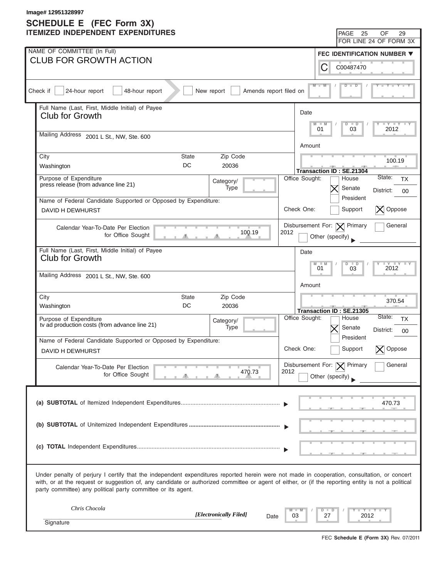| Image# 12951328997<br>SCHEDULE E (FEC Form 3X) |                                                                                                                                                                                                                                                                                                                                                                   |                |                                                                            |  |  |  |  |  |
|------------------------------------------------|-------------------------------------------------------------------------------------------------------------------------------------------------------------------------------------------------------------------------------------------------------------------------------------------------------------------------------------------------------------------|----------------|----------------------------------------------------------------------------|--|--|--|--|--|
|                                                | <b>ITEMIZED INDEPENDENT EXPENDITURES</b>                                                                                                                                                                                                                                                                                                                          |                | PAGE<br>25<br>OF<br>29                                                     |  |  |  |  |  |
|                                                |                                                                                                                                                                                                                                                                                                                                                                   |                | FOR LINE 24 OF FORM 3X                                                     |  |  |  |  |  |
|                                                | NAME OF COMMITTEE (In Full)<br><b>CLUB FOR GROWTH ACTION</b>                                                                                                                                                                                                                                                                                                      |                | FEC IDENTIFICATION NUMBER $\blacktriangledown$                             |  |  |  |  |  |
|                                                |                                                                                                                                                                                                                                                                                                                                                                   |                | С<br>C00487470                                                             |  |  |  |  |  |
|                                                | 24-hour report<br>48-hour report<br>Check if<br>New report<br>Amends report filed on                                                                                                                                                                                                                                                                              |                | $M - M$<br>D                                                               |  |  |  |  |  |
|                                                | Full Name (Last, First, Middle Initial) of Payee<br>Club for Growth                                                                                                                                                                                                                                                                                               | Date           |                                                                            |  |  |  |  |  |
|                                                | Mailing Address 2001 L St., NW, Ste. 600                                                                                                                                                                                                                                                                                                                          | M              | $ \gamma$ $  \gamma$ $  \gamma$<br>$\Box$<br>$-M$<br>D<br>03<br>01<br>2012 |  |  |  |  |  |
|                                                |                                                                                                                                                                                                                                                                                                                                                                   | Amount         |                                                                            |  |  |  |  |  |
|                                                | Zip Code<br>City<br><b>State</b><br>DC<br>Washington<br>20036                                                                                                                                                                                                                                                                                                     |                | 100.19<br><b>Transaction ID: SE.21304</b>                                  |  |  |  |  |  |
|                                                | Purpose of Expenditure<br>Category/<br>press release (from advance line 21)<br>Type                                                                                                                                                                                                                                                                               | Office Sought: | State:<br>House<br><b>TX</b><br>Senate<br>District:<br>00                  |  |  |  |  |  |
|                                                | Name of Federal Candidate Supported or Opposed by Expenditure:                                                                                                                                                                                                                                                                                                    |                | President                                                                  |  |  |  |  |  |
|                                                | <b>DAVID H DEWHURST</b>                                                                                                                                                                                                                                                                                                                                           | Check One:     | $ \mathsf{X} $ Oppose<br>Support                                           |  |  |  |  |  |
|                                                | Calendar Year-To-Date Per Election<br>100.19<br>for Office Sought                                                                                                                                                                                                                                                                                                 | 2012           | General<br>Disbursement For: $ \mathbf{X} $ Primary<br>Other (specify)     |  |  |  |  |  |
|                                                | Full Name (Last, First, Middle Initial) of Payee<br><b>Club for Growth</b>                                                                                                                                                                                                                                                                                        | Date           | $\overline{\mathbf{y}}$<br>M<br>$\Box$<br>D                                |  |  |  |  |  |
|                                                | Mailing Address 2001 L St., NW, Ste. 600                                                                                                                                                                                                                                                                                                                          | Amount         | 01<br>03<br>2012                                                           |  |  |  |  |  |
|                                                | City<br>Zip Code<br>State<br>DC<br>Washington<br>20036                                                                                                                                                                                                                                                                                                            |                | 370.54<br>Transaction ID: SE.21305                                         |  |  |  |  |  |
|                                                | Purpose of Expenditure<br>Category/<br>tv ad production costs (from advance line 21)<br>Type                                                                                                                                                                                                                                                                      | Office Sought: | State:<br>House<br>TX<br>Senate<br>District:<br>00                         |  |  |  |  |  |
|                                                | Name of Federal Candidate Supported or Opposed by Expenditure:                                                                                                                                                                                                                                                                                                    |                | President                                                                  |  |  |  |  |  |
|                                                | DAVID H DEWHURST                                                                                                                                                                                                                                                                                                                                                  | Check One:     | Support<br>Oppose                                                          |  |  |  |  |  |
|                                                | Calendar Year-To-Date Per Election<br>470.73<br>for Office Sought                                                                                                                                                                                                                                                                                                 | 2012           | General<br>Disbursement For: $ \mathbf{X} $ Primary<br>Other (specify)     |  |  |  |  |  |
|                                                |                                                                                                                                                                                                                                                                                                                                                                   |                | 470.73                                                                     |  |  |  |  |  |
|                                                |                                                                                                                                                                                                                                                                                                                                                                   |                |                                                                            |  |  |  |  |  |
|                                                |                                                                                                                                                                                                                                                                                                                                                                   |                |                                                                            |  |  |  |  |  |
|                                                | Under penalty of perjury I certify that the independent expenditures reported herein were not made in cooperation, consultation, or concert<br>with, or at the request or suggestion of, any candidate or authorized committee or agent of either, or (if the reporting entity is not a political<br>party committee) any political party committee or its agent. |                |                                                                            |  |  |  |  |  |
|                                                | Chris Chocola<br>[Electronically Filed]<br>Date                                                                                                                                                                                                                                                                                                                   | 03             | Y T Y T<br>27<br>2012                                                      |  |  |  |  |  |
|                                                | Signature                                                                                                                                                                                                                                                                                                                                                         |                |                                                                            |  |  |  |  |  |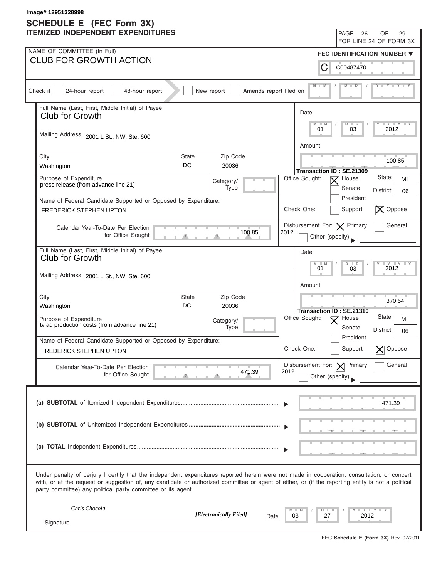|                                                                                                                                                                                                                                                                                                                                                                   | Image# 12951328998<br><b>SCHEDULE E</b> (FEC Form 3X)                                        |                                                  |                 |                                        |                                                   |  |  |  |
|-------------------------------------------------------------------------------------------------------------------------------------------------------------------------------------------------------------------------------------------------------------------------------------------------------------------------------------------------------------------|----------------------------------------------------------------------------------------------|--------------------------------------------------|-----------------|----------------------------------------|---------------------------------------------------|--|--|--|
|                                                                                                                                                                                                                                                                                                                                                                   | <b>ITEMIZED INDEPENDENT EXPENDITURES</b>                                                     |                                                  |                 | PAGE<br>26                             | OF<br>29                                          |  |  |  |
|                                                                                                                                                                                                                                                                                                                                                                   | NAME OF COMMITTEE (In Full)                                                                  |                                                  |                 |                                        | FOR LINE 24 OF FORM 3X                            |  |  |  |
|                                                                                                                                                                                                                                                                                                                                                                   | <b>CLUB FOR GROWTH ACTION</b>                                                                |                                                  |                 |                                        | FEC IDENTIFICATION NUMBER ▼                       |  |  |  |
|                                                                                                                                                                                                                                                                                                                                                                   |                                                                                              |                                                  | С               | C00487470                              |                                                   |  |  |  |
|                                                                                                                                                                                                                                                                                                                                                                   | Check if<br>24-hour report<br>48-hour report<br>New report<br>Amends report filed on         |                                                  | $M - M$         | $\Box$<br>ם                            |                                                   |  |  |  |
|                                                                                                                                                                                                                                                                                                                                                                   | Full Name (Last, First, Middle Initial) of Payee<br>Club for Growth                          | Date                                             |                 |                                        |                                                   |  |  |  |
|                                                                                                                                                                                                                                                                                                                                                                   | Mailing Address 2001 L St., NW, Ste. 600                                                     | M                                                | $-M$<br>01      | $\overline{D}$<br>$\blacksquare$<br>03 | $ \gamma$ $  \gamma$ $  \gamma$<br>2012           |  |  |  |
|                                                                                                                                                                                                                                                                                                                                                                   |                                                                                              | Amount                                           |                 |                                        |                                                   |  |  |  |
|                                                                                                                                                                                                                                                                                                                                                                   | City<br><b>State</b><br>Zip Code                                                             |                                                  | 100.85          |                                        |                                                   |  |  |  |
|                                                                                                                                                                                                                                                                                                                                                                   | DC<br>Washington<br>20036                                                                    |                                                  |                 | Transaction ID: SE.21309               |                                                   |  |  |  |
|                                                                                                                                                                                                                                                                                                                                                                   | Purpose of Expenditure<br>Category/<br>press release (from advance line 21)                  | Office Sought:                                   |                 | House                                  | State:<br>MI                                      |  |  |  |
|                                                                                                                                                                                                                                                                                                                                                                   | <b>Type</b><br>Name of Federal Candidate Supported or Opposed by Expenditure:                |                                                  |                 | Senate<br>President                    | District:<br>06                                   |  |  |  |
|                                                                                                                                                                                                                                                                                                                                                                   | <b>FREDERICK STEPHEN UPTON</b>                                                               | Check One:                                       |                 | Support                                | $ \mathsf{X} $ Oppose                             |  |  |  |
|                                                                                                                                                                                                                                                                                                                                                                   | Calendar Year-To-Date Per Election<br>100.85<br>for Office Sought                            | Disbursement For: $ \mathbf{X} $ Primary<br>2012 | Other (specify) |                                        | General                                           |  |  |  |
|                                                                                                                                                                                                                                                                                                                                                                   | Full Name (Last, First, Middle Initial) of Payee<br><b>Club for Growth</b>                   | Date                                             |                 |                                        |                                                   |  |  |  |
|                                                                                                                                                                                                                                                                                                                                                                   |                                                                                              |                                                  | M<br>01         | $\Box$<br>D<br>03                      | $\overline{Y}$<br>$\overline{\mathbf{y}}$<br>2012 |  |  |  |
|                                                                                                                                                                                                                                                                                                                                                                   | Mailing Address 2001 L St., NW, Ste. 600                                                     | Amount                                           |                 |                                        |                                                   |  |  |  |
|                                                                                                                                                                                                                                                                                                                                                                   | City<br>Zip Code<br>State                                                                    |                                                  |                 |                                        | 370.54                                            |  |  |  |
|                                                                                                                                                                                                                                                                                                                                                                   | DC<br>Washington<br>20036                                                                    |                                                  |                 | Transaction ID: SE.21310               |                                                   |  |  |  |
|                                                                                                                                                                                                                                                                                                                                                                   | Purpose of Expenditure<br>Category/<br>tv ad production costs (from advance line 21)<br>Type | Office Sought:                                   |                 | House<br>Senate                        | State:<br>MI<br>District:                         |  |  |  |
|                                                                                                                                                                                                                                                                                                                                                                   | Name of Federal Candidate Supported or Opposed by Expenditure:                               |                                                  |                 | President                              | 06                                                |  |  |  |
|                                                                                                                                                                                                                                                                                                                                                                   | FREDERICK STEPHEN UPTON                                                                      | Check One:                                       |                 | Support                                | Oppose                                            |  |  |  |
|                                                                                                                                                                                                                                                                                                                                                                   | Calendar Year-To-Date Per Election<br>471.39<br>for Office Sought                            | Disbursement For:   Y   Primary<br>2012          | Other (specify) |                                        | General                                           |  |  |  |
|                                                                                                                                                                                                                                                                                                                                                                   |                                                                                              |                                                  |                 |                                        |                                                   |  |  |  |
|                                                                                                                                                                                                                                                                                                                                                                   |                                                                                              |                                                  |                 |                                        | 471.39                                            |  |  |  |
|                                                                                                                                                                                                                                                                                                                                                                   |                                                                                              |                                                  |                 |                                        |                                                   |  |  |  |
|                                                                                                                                                                                                                                                                                                                                                                   |                                                                                              |                                                  |                 |                                        |                                                   |  |  |  |
|                                                                                                                                                                                                                                                                                                                                                                   |                                                                                              |                                                  |                 |                                        |                                                   |  |  |  |
| Under penalty of perjury I certify that the independent expenditures reported herein were not made in cooperation, consultation, or concert<br>with, or at the request or suggestion of, any candidate or authorized committee or agent of either, or (if the reporting entity is not a political<br>party committee) any political party committee or its agent. |                                                                                              |                                                  |                 |                                        |                                                   |  |  |  |
|                                                                                                                                                                                                                                                                                                                                                                   | Chris Chocola<br>[Electronically Filed]<br>Date                                              | 03                                               | 27              | 2012                                   | Y Y L                                             |  |  |  |
|                                                                                                                                                                                                                                                                                                                                                                   | Signature                                                                                    |                                                  |                 |                                        |                                                   |  |  |  |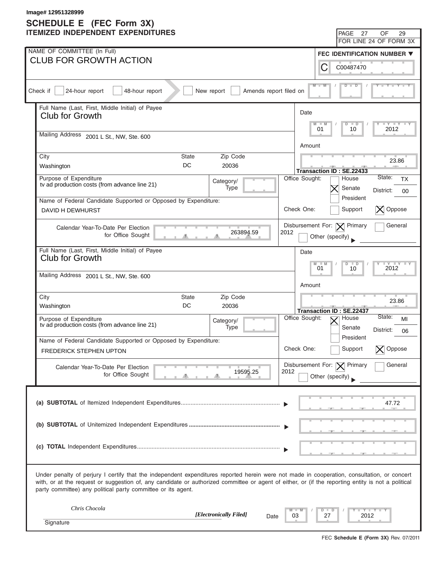| Image# 12951328999<br>SCHEDULE E (FEC Form 3X) |                                                                                                                                                                                                                                                                                                                                                                   |                |                                                             |                                           |  |  |  |
|------------------------------------------------|-------------------------------------------------------------------------------------------------------------------------------------------------------------------------------------------------------------------------------------------------------------------------------------------------------------------------------------------------------------------|----------------|-------------------------------------------------------------|-------------------------------------------|--|--|--|
|                                                | <b>ITEMIZED INDEPENDENT EXPENDITURES</b>                                                                                                                                                                                                                                                                                                                          |                | PAGE<br>27                                                  | OF<br>29                                  |  |  |  |
|                                                |                                                                                                                                                                                                                                                                                                                                                                   |                |                                                             | FOR LINE 24 OF FORM 3X                    |  |  |  |
|                                                | NAME OF COMMITTEE (In Full)<br><b>CLUB FOR GROWTH ACTION</b>                                                                                                                                                                                                                                                                                                      |                | FEC IDENTIFICATION NUMBER $\blacktriangledown$              |                                           |  |  |  |
|                                                |                                                                                                                                                                                                                                                                                                                                                                   |                | С<br>C00487470                                              |                                           |  |  |  |
|                                                | 24-hour report<br>Check if<br>48-hour report<br>New report<br>Amends report filed on                                                                                                                                                                                                                                                                              |                | $M - M$<br>$\Box$<br>D                                      |                                           |  |  |  |
|                                                | Full Name (Last, First, Middle Initial) of Payee<br>Club for Growth                                                                                                                                                                                                                                                                                               | Date           |                                                             |                                           |  |  |  |
|                                                | Mailing Address 2001 L St., NW, Ste. 600                                                                                                                                                                                                                                                                                                                          | M              | $-M$<br>D<br>$\Box$<br>01<br>10                             | $ \gamma$ $  \gamma$ $  \gamma$<br>2012   |  |  |  |
|                                                |                                                                                                                                                                                                                                                                                                                                                                   | Amount         |                                                             |                                           |  |  |  |
|                                                | Zip Code<br>City<br><b>State</b><br>DC<br>Washington<br>20036                                                                                                                                                                                                                                                                                                     |                | Transaction ID: SE.22433                                    | 23.86                                     |  |  |  |
|                                                | Purpose of Expenditure<br>Category/<br>tv ad production costs (from advance line 21)<br>Type                                                                                                                                                                                                                                                                      | Office Sought: | House<br>Senate                                             | State:<br><b>TX</b><br>District:<br>00    |  |  |  |
|                                                | Name of Federal Candidate Supported or Opposed by Expenditure:                                                                                                                                                                                                                                                                                                    |                | President                                                   |                                           |  |  |  |
|                                                | <b>DAVID H DEWHURST</b>                                                                                                                                                                                                                                                                                                                                           | Check One:     | Support                                                     | Oppose                                    |  |  |  |
|                                                | Calendar Year-To-Date Per Election<br>263894.59<br>for Office Sought                                                                                                                                                                                                                                                                                              | 2012           | Disbursement For: $ \mathbf{X} $ Primary<br>Other (specify) | General                                   |  |  |  |
|                                                | Full Name (Last, First, Middle Initial) of Payee<br><b>Club for Growth</b>                                                                                                                                                                                                                                                                                        | Date           | M<br>$\Box$<br>D                                            | $\overline{Y}$<br>$\overline{\mathbf{y}}$ |  |  |  |
|                                                | Mailing Address 2001 L St., NW, Ste. 600                                                                                                                                                                                                                                                                                                                          | Amount         | 01<br>10                                                    | 2012                                      |  |  |  |
|                                                | City<br>Zip Code<br>State<br>DC<br>Washington<br>20036                                                                                                                                                                                                                                                                                                            |                |                                                             | 23.86                                     |  |  |  |
|                                                | Purpose of Expenditure<br>Category/<br>tv ad production costs (from advance line 21)<br>Type                                                                                                                                                                                                                                                                      | Office Sought: | Transaction ID: SE.22437<br>House<br>Senate                 | State:<br>MI<br>District:<br>06           |  |  |  |
|                                                | Name of Federal Candidate Supported or Opposed by Expenditure:                                                                                                                                                                                                                                                                                                    |                | President                                                   |                                           |  |  |  |
|                                                | FREDERICK STEPHEN UPTON                                                                                                                                                                                                                                                                                                                                           | Check One:     | Support                                                     | Oppose                                    |  |  |  |
|                                                | Calendar Year-To-Date Per Election<br>19595.25<br>for Office Sought                                                                                                                                                                                                                                                                                               | 2012           | Disbursement For: $ \mathbf{X} $ Primary<br>Other (specify) | General                                   |  |  |  |
|                                                |                                                                                                                                                                                                                                                                                                                                                                   |                |                                                             | 47.72                                     |  |  |  |
|                                                |                                                                                                                                                                                                                                                                                                                                                                   |                |                                                             |                                           |  |  |  |
|                                                |                                                                                                                                                                                                                                                                                                                                                                   |                |                                                             |                                           |  |  |  |
|                                                | Under penalty of perjury I certify that the independent expenditures reported herein were not made in cooperation, consultation, or concert<br>with, or at the request or suggestion of, any candidate or authorized committee or agent of either, or (if the reporting entity is not a political<br>party committee) any political party committee or its agent. |                |                                                             |                                           |  |  |  |
|                                                | Chris Chocola<br>[Electronically Filed]<br>Date                                                                                                                                                                                                                                                                                                                   | 03             | 27                                                          | Y Y L<br>2012                             |  |  |  |
|                                                | Signature                                                                                                                                                                                                                                                                                                                                                         |                |                                                             |                                           |  |  |  |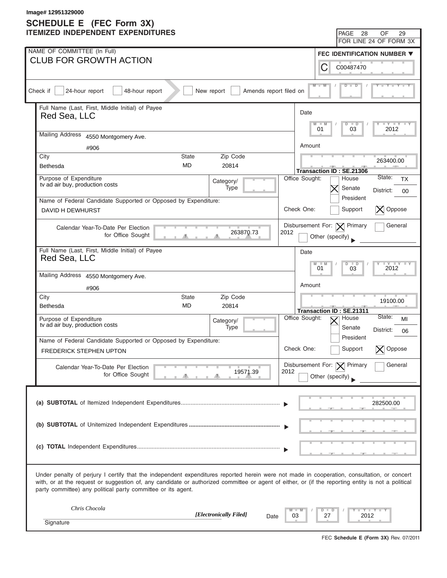| Image# 12951329000<br><b>SCHEDULE E</b> (FEC Form 3X) |                                                                                                                                                                                                                                                                                                                                                                   |                                                  |                 |                                             |                                                |  |  |
|-------------------------------------------------------|-------------------------------------------------------------------------------------------------------------------------------------------------------------------------------------------------------------------------------------------------------------------------------------------------------------------------------------------------------------------|--------------------------------------------------|-----------------|---------------------------------------------|------------------------------------------------|--|--|
|                                                       | <b>ITEMIZED INDEPENDENT EXPENDITURES</b>                                                                                                                                                                                                                                                                                                                          |                                                  |                 | PAGE<br>28                                  | OF<br>29                                       |  |  |
|                                                       |                                                                                                                                                                                                                                                                                                                                                                   |                                                  |                 |                                             | FOR LINE 24 OF FORM 3X                         |  |  |
|                                                       | NAME OF COMMITTEE (In Full)<br><b>CLUB FOR GROWTH ACTION</b>                                                                                                                                                                                                                                                                                                      |                                                  |                 |                                             | FEC IDENTIFICATION NUMBER $\blacktriangledown$ |  |  |
|                                                       |                                                                                                                                                                                                                                                                                                                                                                   |                                                  | С               | C00487470                                   |                                                |  |  |
|                                                       | 24-hour report<br>Check if<br>48-hour report<br>New report<br>Amends report filed on                                                                                                                                                                                                                                                                              |                                                  | $M - M$         | $\Box$<br>ъ                                 |                                                |  |  |
|                                                       | Full Name (Last, First, Middle Initial) of Payee<br>Red Sea, LLC                                                                                                                                                                                                                                                                                                  | Date                                             | M<br>$-M$       | D<br>$\Box$                                 | $ \gamma$ $  \gamma$ $  \gamma$                |  |  |
|                                                       | Mailing Address 4550 Montgomery Ave.                                                                                                                                                                                                                                                                                                                              |                                                  | 01              | 03                                          | 2012                                           |  |  |
|                                                       | #906                                                                                                                                                                                                                                                                                                                                                              | Amount                                           |                 |                                             |                                                |  |  |
|                                                       | City<br>Zip Code<br><b>State</b><br><b>MD</b><br>Bethesda<br>20814                                                                                                                                                                                                                                                                                                |                                                  |                 | Transaction ID: SE.21306                    | 263400.00                                      |  |  |
|                                                       | Purpose of Expenditure<br>Category/<br>tv ad air buy, production costs<br>Type                                                                                                                                                                                                                                                                                    | Office Sought:                                   |                 | House<br>Senate                             | State:<br><b>TX</b>                            |  |  |
|                                                       | Name of Federal Candidate Supported or Opposed by Expenditure:                                                                                                                                                                                                                                                                                                    |                                                  |                 | President                                   | District:<br>00                                |  |  |
|                                                       | <b>DAVID H DEWHURST</b>                                                                                                                                                                                                                                                                                                                                           | Check One:                                       |                 | Support                                     | Oppose<br>$\boldsymbol{\times}$                |  |  |
|                                                       | Calendar Year-To-Date Per Election<br>263870.73<br>for Office Sought                                                                                                                                                                                                                                                                                              | Disbursement For: $ \mathbf{X} $ Primary<br>2012 | Other (specify) |                                             | General                                        |  |  |
|                                                       | Full Name (Last, First, Middle Initial) of Payee<br>Red Sea, LLC                                                                                                                                                                                                                                                                                                  | Date                                             | M<br>01         | $\Box$<br>D<br>03                           | $\overline{Y}$<br>$\overline{Y}$<br>2012       |  |  |
|                                                       | Mailing Address 4550 Montgomery Ave.                                                                                                                                                                                                                                                                                                                              |                                                  |                 |                                             |                                                |  |  |
|                                                       | #906                                                                                                                                                                                                                                                                                                                                                              | Amount                                           |                 |                                             |                                                |  |  |
|                                                       | City<br>Zip Code<br>State<br><b>MD</b><br>Bethesda<br>20814                                                                                                                                                                                                                                                                                                       |                                                  |                 |                                             | 19100.00                                       |  |  |
|                                                       | Purpose of Expenditure<br>Category/<br>tv ad air buy, production costs<br>Type                                                                                                                                                                                                                                                                                    | Office Sought:                                   |                 | Transaction ID: SE.21311<br>House<br>Senate | State:<br>MI<br>District:<br>06                |  |  |
|                                                       | Name of Federal Candidate Supported or Opposed by Expenditure:<br>FREDERICK STEPHEN UPTON                                                                                                                                                                                                                                                                         | Check One:                                       |                 | President<br>Support                        | Oppose                                         |  |  |
|                                                       |                                                                                                                                                                                                                                                                                                                                                                   | Disbursement For: $ \mathbf{X} $ Primary         |                 |                                             | General                                        |  |  |
|                                                       | Calendar Year-To-Date Per Election<br>19571.39<br>for Office Sought                                                                                                                                                                                                                                                                                               | 2012                                             | Other (specify) |                                             |                                                |  |  |
|                                                       |                                                                                                                                                                                                                                                                                                                                                                   |                                                  |                 |                                             | 282500.00                                      |  |  |
|                                                       |                                                                                                                                                                                                                                                                                                                                                                   |                                                  |                 |                                             |                                                |  |  |
|                                                       |                                                                                                                                                                                                                                                                                                                                                                   |                                                  |                 |                                             |                                                |  |  |
|                                                       | Under penalty of perjury I certify that the independent expenditures reported herein were not made in cooperation, consultation, or concert<br>with, or at the request or suggestion of, any candidate or authorized committee or agent of either, or (if the reporting entity is not a political<br>party committee) any political party committee or its agent. |                                                  |                 |                                             |                                                |  |  |
|                                                       | Chris Chocola<br>[Electronically Filed]<br>Date                                                                                                                                                                                                                                                                                                                   | 03                                               | 27              | 2012                                        | Y Y L                                          |  |  |
|                                                       | Signature                                                                                                                                                                                                                                                                                                                                                         |                                                  |                 |                                             |                                                |  |  |